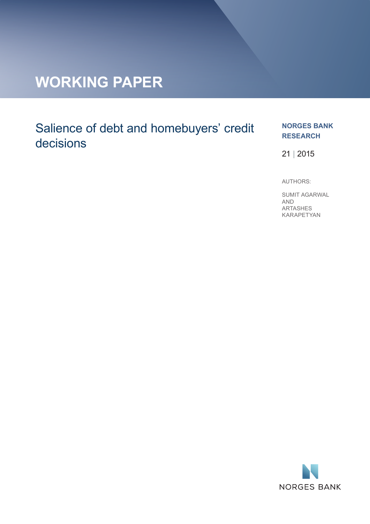# **WORKING PAPER**

## Salience of debt and homebuyers' credit decisions

#### **NORGES BANK RESEARCH**

21 | 2015

AUTHORS:

SUMIT AGARWAL AND ARTASHES KARAPETYAN

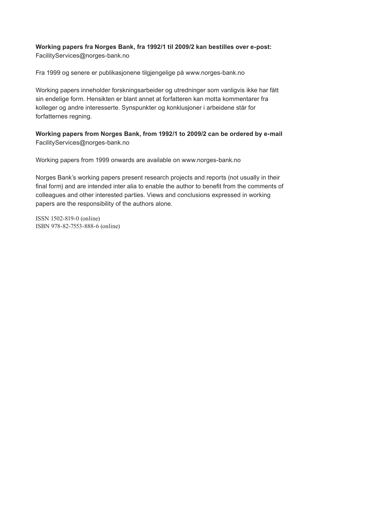#### **Working papers fra Norges Bank, fra 1992/1 til 2009/2 kan bestilles over e-post:** FacilityServices@norges-bank.no

Fra 1999 og senere er publikasjonene tilgjengelige på www.norges-bank.no

Working papers inneholder forskningsarbeider og utredninger som vanligvis ikke har fått sin endelige form. Hensikten er blant annet at forfatteren kan motta kommentarer fra kolleger og andre interesserte. Synspunkter og konklusjoner i arbeidene står for forfatternes regning.

**Working papers from Norges Bank, from 1992/1 to 2009/2 can be ordered by e-mail:** FacilityServices@norges-bank.no

Working papers from 1999 onwards are available on www.norges-bank.no

Norges Bank's working papers present research projects and reports (not usually in their final form) and are intended inter alia to enable the author to benefit from the comments of colleagues and other interested parties. Views and conclusions expressed in working papers are the responsibility of the authors alone.

ISSN 1502-819-0 (online) ISBN 978-82-7553-888-6 (online)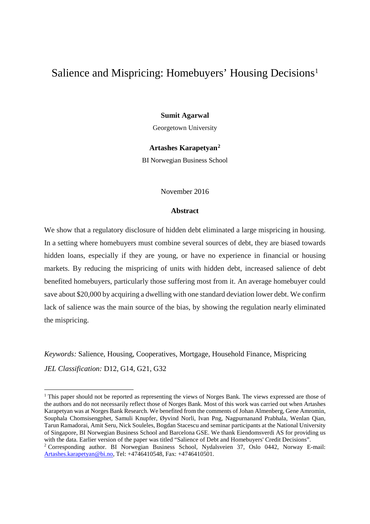### Salience and Mispricing: Homebuyers' Housing Decisions<sup>[1](#page-2-0)</sup>

#### **Sumit Agarwal**

Georgetown University

#### **Artashes Karapetyan[2](#page-2-1)**

BI Norwegian Business School

#### November 2016

#### **Abstract**

We show that a regulatory disclosure of hidden debt eliminated a large mispricing in housing. In a setting where homebuyers must combine several sources of debt, they are biased towards hidden loans, especially if they are young, or have no experience in financial or housing markets. By reducing the mispricing of units with hidden debt, increased salience of debt benefited homebuyers, particularly those suffering most from it. An average homebuyer could save about \$20,000 by acquiring a dwelling with one standard deviation lower debt. We confirm lack of salience was the main source of the bias, by showing the regulation nearly eliminated the mispricing.

*Keywords:* Salience, Housing, Cooperatives, Mortgage, Household Finance, Mispricing *JEL Classification:* D12, G14, G21, G32

<span id="page-2-0"></span><sup>&</sup>lt;sup>1</sup> This paper should not be reported as representing the views of Norges Bank. The views expressed are those of the authors and do not necessarily reflect those of Norges Bank. Most of this work was carried out when Artashes Karapetyan was at Norges Bank Research. We benefited from the comments of Johan Almenberg, Gene Amromin, Souphala Chomsisengphet, Samuli Knupfer, Øyvind Norli, Ivan Png, Nagpurnanand Prabhala, Wenlan Qian, Tarun Ramadorai, Amit Seru, Nick Souleles, Bogdan Stacescu and seminar participants at the National University of Singapore, BI Norwegian Business School and Barcelona GSE. We thank Eiendomsverdi AS for providing us with the data. Earlier version of the paper was titled "Salience of Debt and Homebuyers' Credit Decisions". <sup>2</sup> Corresponding author. BI Norwegian Business School, Nydalsveien 37, Oslo 0442, Norway E-mail:

<span id="page-2-1"></span>[Artashes.karapetyan@bi.no,](mailto:Artashes.karapetyan@bi.no) Tel: +4746410548, Fax: +4746410501.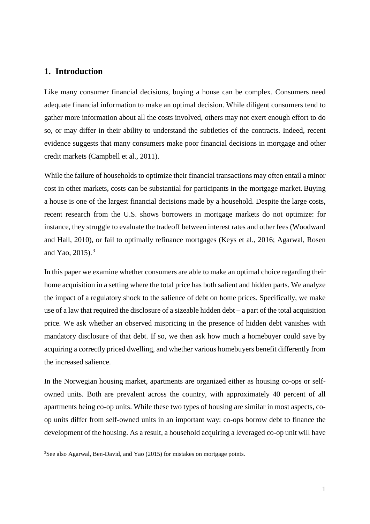#### **1. Introduction**

Like many consumer financial decisions, buying a house can be complex. Consumers need adequate financial information to make an optimal decision. While diligent consumers tend to gather more information about all the costs involved, others may not exert enough effort to do so, or may differ in their ability to understand the subtleties of the contracts. Indeed, recent evidence suggests that many consumers make poor financial decisions in mortgage and other credit markets (Campbell et al., 2011).

While the failure of households to optimize their financial transactions may often entail a minor cost in other markets, costs can be substantial for participants in the mortgage market. Buying a house is one of the largest financial decisions made by a household. Despite the large costs, recent research from the U.S. shows borrowers in mortgage markets do not optimize: for instance, they struggle to evaluate the tradeoff between interest rates and other fees (Woodward and Hall, 2010), or fail to optimally refinance mortgages (Keys et al., 2016; Agarwal, Rosen and Yao, 2015). [3](#page-3-0)

In this paper we examine whether consumers are able to make an optimal choice regarding their home acquisition in a setting where the total price has both salient and hidden parts. We analyze the impact of a regulatory shock to the salience of debt on home prices. Specifically, we make use of a law that required the disclosure of a sizeable hidden debt – a part of the total acquisition price. We ask whether an observed mispricing in the presence of hidden debt vanishes with mandatory disclosure of that debt. If so, we then ask how much a homebuyer could save by acquiring a correctly priced dwelling, and whether various homebuyers benefit differently from the increased salience.

In the Norwegian housing market, apartments are organized either as housing co-ops or selfowned units. Both are prevalent across the country, with approximately 40 percent of all apartments being co-op units. While these two types of housing are similar in most aspects, coop units differ from self-owned units in an important way: co-ops borrow debt to finance the development of the housing. As a result, a household acquiring a leveraged co-op unit will have

<span id="page-3-0"></span><sup>&</sup>lt;sup>3</sup>See also Agarwal, Ben-David, and Yao (2015) for mistakes on mortgage points.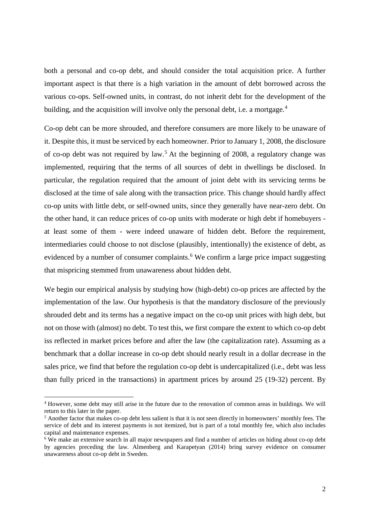both a personal and co-op debt, and should consider the total acquisition price. A further important aspect is that there is a high variation in the amount of debt borrowed across the various co-ops. Self-owned units, in contrast, do not inherit debt for the development of the building, and the acquisition will involve only the personal debt, i.e. a mortgage.<sup>[4](#page-4-0)</sup>

Co-op debt can be more shrouded, and therefore consumers are more likely to be unaware of it. Despite this, it must be serviced by each homeowner. Prior to January 1, 2008, the disclosure of co-op debt was not required by law.<sup>[5](#page-4-1)</sup> At the beginning of 2008, a regulatory change was implemented, requiring that the terms of all sources of debt in dwellings be disclosed. In particular, the regulation required that the amount of joint debt with its servicing terms be disclosed at the time of sale along with the transaction price. This change should hardly affect co-op units with little debt, or self-owned units, since they generally have near-zero debt. On the other hand, it can reduce prices of co-op units with moderate or high debt if homebuyers at least some of them - were indeed unaware of hidden debt. Before the requirement, intermediaries could choose to not disclose (plausibly, intentionally) the existence of debt, as evidenced by a number of consumer complaints.<sup>[6](#page-4-2)</sup> We confirm a large price impact suggesting that mispricing stemmed from unawareness about hidden debt.

We begin our empirical analysis by studying how (high-debt) co-op prices are affected by the implementation of the law. Our hypothesis is that the mandatory disclosure of the previously shrouded debt and its terms has a negative impact on the co-op unit prices with high debt, but not on those with (almost) no debt. To test this, we first compare the extent to which co-op debt iss reflected in market prices before and after the law (the capitalization rate). Assuming as a benchmark that a dollar increase in co-op debt should nearly result in a dollar decrease in the sales price, we find that before the regulation co-op debt is undercapitalized (i.e., debt was less than fully priced in the transactions) in apartment prices by around 25 (19-32) percent. By

 $\ddot{\phantom{a}}$ 

<span id="page-4-0"></span><sup>4</sup> However, some debt may still arise in the future due to the renovation of common areas in buildings. We will return to this later in the paper.

<span id="page-4-1"></span><sup>&</sup>lt;sup>5</sup> Another factor that makes co-op debt less salient is that it is not seen directly in homeowners' monthly fees. The service of debt and its interest payments is not itemized, but is part of a total monthly fee, which also includes capital and maintenance expenses.

<span id="page-4-2"></span><sup>&</sup>lt;sup>6</sup> We make an extensive search in all major newspapers and find a number of articles on hiding about co-op debt by agencies preceding the law. Almenberg and Karapetyan (2014) bring survey evidence on consumer unawareness about co-op debt in Sweden.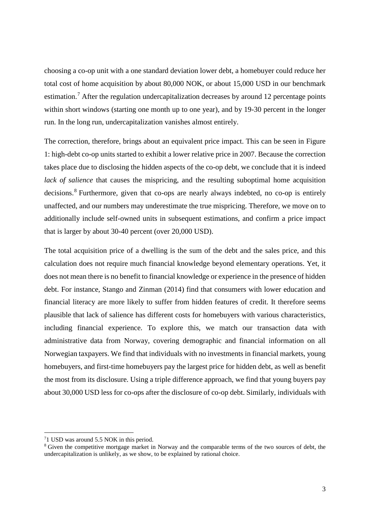choosing a co-op unit with a one standard deviation lower debt, a homebuyer could reduce her total cost of home acquisition by about 80,000 NOK, or about 15,000 USD in our benchmark estimation.<sup>[7](#page-5-0)</sup> After the regulation undercapitalization decreases by around 12 percentage points within short windows (starting one month up to one year), and by 19-30 percent in the longer run. In the long run, undercapitalization vanishes almost entirely.

The correction, therefore, brings about an equivalent price impact. This can be seen in Figure 1: high-debt co-op units started to exhibit a lower relative price in 2007. Because the correction takes place due to disclosing the hidden aspects of the co-op debt, we conclude that it is indeed *lack of salience* that causes the mispricing, and the resulting suboptimal home acquisition decisions. [8](#page-5-1) Furthermore, given that co-ops are nearly always indebted, no co-op is entirely unaffected, and our numbers may underestimate the true mispricing. Therefore, we move on to additionally include self-owned units in subsequent estimations, and confirm a price impact that is larger by about 30-40 percent (over 20,000 USD).

The total acquisition price of a dwelling is the sum of the debt and the sales price, and this calculation does not require much financial knowledge beyond elementary operations. Yet, it does not mean there is no benefit to financial knowledge or experience in the presence of hidden debt. For instance, Stango and Zinman (2014) find that consumers with lower education and financial literacy are more likely to suffer from hidden features of credit. It therefore seems plausible that lack of salience has different costs for homebuyers with various characteristics, including financial experience. To explore this, we match our transaction data with administrative data from Norway, covering demographic and financial information on all Norwegian taxpayers. We find that individuals with no investments in financial markets, young homebuyers, and first-time homebuyers pay the largest price for hidden debt, as well as benefit the most from its disclosure. Using a triple difference approach, we find that young buyers pay about 30,000 USD less for co-ops after the disclosure of co-op debt. Similarly, individuals with

<span id="page-5-0"></span><sup>&</sup>lt;sup>7</sup>1 USD was around 5.5 NOK in this period.

<span id="page-5-1"></span><sup>&</sup>lt;sup>8</sup> Given the competitive mortgage market in Norway and the comparable terms of the two sources of debt, the undercapitalization is unlikely, as we show, to be explained by rational choice.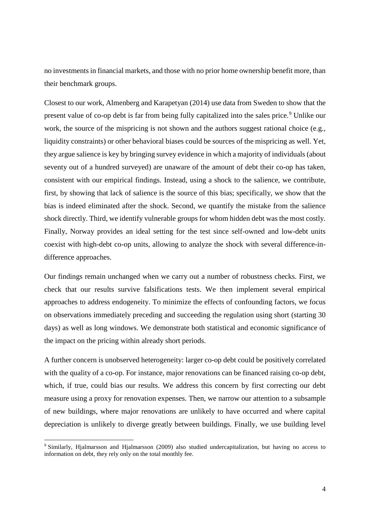no investments in financial markets, and those with no prior home ownership benefit more, than their benchmark groups.

Closest to our work, Almenberg and Karapetyan (2014) use data from Sweden to show that the present value of co-op debt is far from being fully capitalized into the sales price.<sup>[9](#page-6-0)</sup> Unlike our work, the source of the mispricing is not shown and the authors suggest rational choice (e.g., liquidity constraints) or other behavioral biases could be sources of the mispricing as well. Yet, they argue salience is key by bringing survey evidence in which a majority of individuals (about seventy out of a hundred surveyed) are unaware of the amount of debt their co-op has taken, consistent with our empirical findings. Instead, using a shock to the salience, we contribute, first, by showing that lack of salience is the source of this bias; specifically, we show that the bias is indeed eliminated after the shock. Second, we quantify the mistake from the salience shock directly. Third, we identify vulnerable groups for whom hidden debt was the most costly. Finally, Norway provides an ideal setting for the test since self-owned and low-debt units coexist with high-debt co-op units, allowing to analyze the shock with several difference-indifference approaches.

Our findings remain unchanged when we carry out a number of robustness checks. First, we check that our results survive falsifications tests. We then implement several empirical approaches to address endogeneity. To minimize the effects of confounding factors, we focus on observations immediately preceding and succeeding the regulation using short (starting 30 days) as well as long windows. We demonstrate both statistical and economic significance of the impact on the pricing within already short periods.

A further concern is unobserved heterogeneity: larger co-op debt could be positively correlated with the quality of a co-op. For instance, major renovations can be financed raising co-op debt, which, if true, could bias our results. We address this concern by first correcting our debt measure using a proxy for renovation expenses. Then, we narrow our attention to a subsample of new buildings, where major renovations are unlikely to have occurred and where capital depreciation is unlikely to diverge greatly between buildings. Finally, we use building level

<span id="page-6-0"></span><sup>9</sup> Similarly, Hjalmarsson and Hjalmarsson (2009) also studied undercapitalization, but having no access to information on debt, they rely only on the total monthly fee.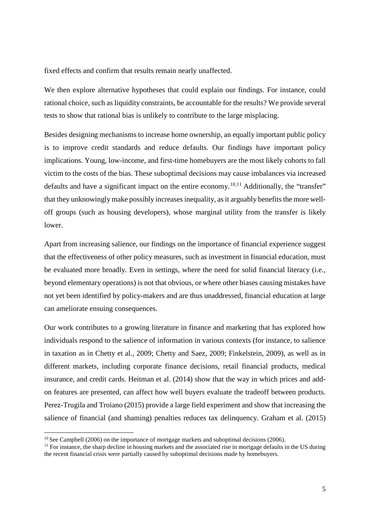fixed effects and confirm that results remain nearly unaffected.

We then explore alternative hypotheses that could explain our findings. For instance, could rational choice, such as liquidity constraints, be accountable for the results? We provide several tests to show that rational bias is unlikely to contribute to the large misplacing.

Besides designing mechanisms to increase home ownership, an equally important public policy is to improve credit standards and reduce defaults. Our findings have important policy implications. Young, low-income, and first-time homebuyers are the most likely cohorts to fall victim to the costs of the bias. These suboptimal decisions may cause imbalances via increased defaults and have a significant impact on the entire economy.<sup>[10](#page-7-0),[11](#page-7-1)</sup> Additionally, the "transfer" that they unknowingly make possibly increases inequality, as it arguably benefits the more welloff groups (such as housing developers), whose marginal utility from the transfer is likely lower.

Apart from increasing salience, our findings on the importance of financial experience suggest that the effectiveness of other policy measures, such as investment in financial education, must be evaluated more broadly. Even in settings, where the need for solid financial literacy (i.e., beyond elementary operations) is not that obvious, or where other biases causing mistakes have not yet been identified by policy-makers and are thus unaddressed, financial education at large can ameliorate ensuing consequences.

Our work contributes to a growing literature in finance and marketing that has explored how individuals respond to the salience of information in various contexts (for instance, to salience in taxation as in Chetty et al., 2009; Chetty and Saez, 2009; Finkelstein, 2009), as well as in different markets, including corporate finance decisions, retail financial products, medical insurance, and credit cards. Heitman et al. (2014) show that the way in which prices and addon features are presented, can affect how well buyers evaluate the tradeoff between products. Perez-Trugila and Troiano (2015) provide a large field experiment and show that increasing the salience of financial (and shaming) penalties reduces tax delinquency. Graham et al. (2015)

<span id="page-7-1"></span><span id="page-7-0"></span>

<sup>&</sup>lt;sup>10</sup> See Campbell (2006) on the importance of mortgage markets and suboptimal decisions (2006).<br><sup>11</sup> For instance, the sharp decline in housing markets and the associated rise in mortgage defaults in the US during the recent financial crisis were partially caused by suboptimal decisions made by homebuyers.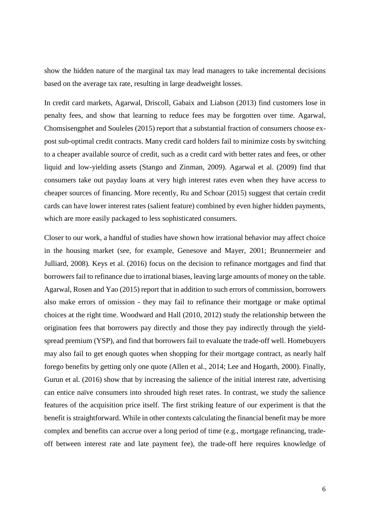show the hidden nature of the marginal tax may lead managers to take incremental decisions based on the average tax rate, resulting in large deadweight losses.

In credit card markets, Agarwal, Driscoll, Gabaix and Liabson (2013) find customers lose in penalty fees, and show that learning to reduce fees may be forgotten over time. Agarwal, Chomsisengphet and Souleles (2015) report that a substantial fraction of consumers choose expost sub-optimal credit contracts. Many credit card holders fail to minimize costs by switching to a cheaper available source of credit, such as a credit card with better rates and fees, or other liquid and low-yielding assets (Stango and Zinman, 2009). Agarwal et al. (2009) find that consumers take out payday loans at very high interest rates even when they have access to cheaper sources of financing. More recently, Ru and Schoar (2015) suggest that certain credit cards can have lower interest rates (salient feature) combined by even higher hidden payments, which are more easily packaged to less sophisticated consumers.

Closer to our work, a handful of studies have shown how irrational behavior may affect choice in the housing market (see, for example, Genesove and Mayer, 2001; Brunnermeier and Julliard, 2008). Keys et al. (2016) focus on the decision to refinance mortgages and find that borrowers fail to refinance due to irrational biases, leaving large amounts of money on the table. Agarwal, Rosen and Yao (2015) report that in addition to such errors of commission, borrowers also make errors of omission - they may fail to refinance their mortgage or make optimal choices at the right time. Woodward and Hall (2010, 2012) study the relationship between the origination fees that borrowers pay directly and those they pay indirectly through the yieldspread premium (YSP), and find that borrowers fail to evaluate the trade-off well. Homebuyers may also fail to get enough quotes when shopping for their mortgage contract, as nearly half forego benefits by getting only one quote (Allen et al., 2014; Lee and Hogarth, 2000). Finally, Gurun et al. (2016) show that by increasing the salience of the initial interest rate, advertising can entice naïve consumers into shrouded high reset rates. In contrast, we study the salience features of the acquisition price itself. The first striking feature of our experiment is that the benefit is straightforward. While in other contexts calculating the financial benefit may be more complex and benefits can accrue over a long period of time (e.g., mortgage refinancing, tradeoff between interest rate and late payment fee), the trade-off here requires knowledge of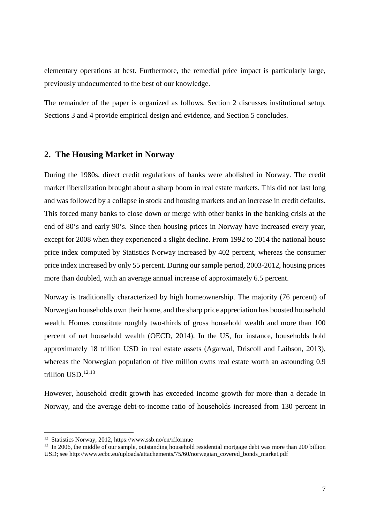elementary operations at best. Furthermore, the remedial price impact is particularly large, previously undocumented to the best of our knowledge.

The remainder of the paper is organized as follows. Section 2 discusses institutional setup. Sections 3 and 4 provide empirical design and evidence, and Section 5 concludes.

#### **2. The Housing Market in Norway**

During the 1980s, direct credit regulations of banks were abolished in Norway. The credit market liberalization brought about a sharp boom in real estate markets. This did not last long and was followed by a collapse in stock and housing markets and an increase in credit defaults. This forced many banks to close down or merge with other banks in the banking crisis at the end of 80's and early 90's. Since then housing prices in Norway have increased every year, except for 2008 when they experienced a slight decline. From 1992 to 2014 the national house price index computed by Statistics Norway increased by 402 percent, whereas the consumer price index increased by only 55 percent. During our sample period, 2003-2012, housing prices more than doubled, with an average annual increase of approximately 6.5 percent.

Norway is traditionally characterized by high homeownership. The majority (76 percent) of Norwegian households own their home, and the sharp price appreciation has boosted household wealth. Homes constitute roughly two-thirds of gross household wealth and more than 100 percent of net household wealth (OECD, 2014). In the US, for instance, households hold approximately 18 trillion USD in real estate assets (Agarwal, Driscoll and Laibson, 2013), whereas the Norwegian population of five million owns real estate worth an astounding 0.9 trillion USD. [12,](#page-9-0)[13](#page-9-1)

However, household credit growth has exceeded income growth for more than a decade in Norway, and the average debt-to-income ratio of households increased from 130 percent in

<span id="page-9-0"></span><sup>12</sup> Statistics Norway, 2012, https://www.ssb.no/en/ifformue

<span id="page-9-1"></span><sup>&</sup>lt;sup>13</sup> In 2006, the middle of our sample, outstanding household residential mortgage debt was more than 200 billion USD; see http://www.ecbc.eu/uploads/attachements/75/60/norwegian\_covered\_bonds\_market.pdf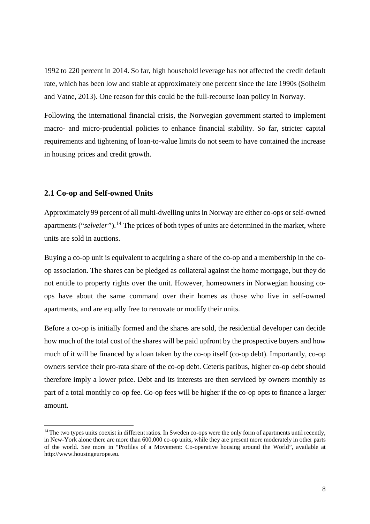1992 to 220 percent in 2014. So far, high household leverage has not affected the credit default rate, which has been low and stable at approximately one percent since the late 1990s (Solheim and Vatne, 2013). One reason for this could be the full-recourse loan policy in Norway.

Following the international financial crisis, the Norwegian government started to implement macro- and micro-prudential policies to enhance financial stability. So far, stricter capital requirements and tightening of loan-to-value limits do not seem to have contained the increase in housing prices and credit growth.

#### **2.1 Co-op and Self-owned Units**

 $\overline{a}$ 

Approximately 99 percent of all multi-dwelling units in Norway are either co-ops or self-owned apartments ("*selveier*").<sup>[14](#page-10-0)</sup> The prices of both types of units are determined in the market, where units are sold in auctions.

Buying a co-op unit is equivalent to acquiring a share of the co-op and a membership in the coop association. The shares can be pledged as collateral against the home mortgage, but they do not entitle to property rights over the unit. However, homeowners in Norwegian housing coops have about the same command over their homes as those who live in self-owned apartments, and are equally free to renovate or modify their units.

Before a co-op is initially formed and the shares are sold, the residential developer can decide how much of the total cost of the shares will be paid upfront by the prospective buyers and how much of it will be financed by a loan taken by the co-op itself (co-op debt). Importantly, co-op owners service their pro-rata share of the co-op debt. Ceteris paribus, higher co-op debt should therefore imply a lower price. Debt and its interests are then serviced by owners monthly as part of a total monthly co-op fee. Co-op fees will be higher if the co-op opts to finance a larger amount.

<span id="page-10-0"></span> $14$  The two types units coexist in different ratios. In Sweden co-ops were the only form of apartments until recently, in New-York alone there are more than 600,000 co-op units, while they are present more moderately in other parts of the world. See more in "Profiles of a Movement: Co-operative housing around the World", available at http://www.housingeurope.eu.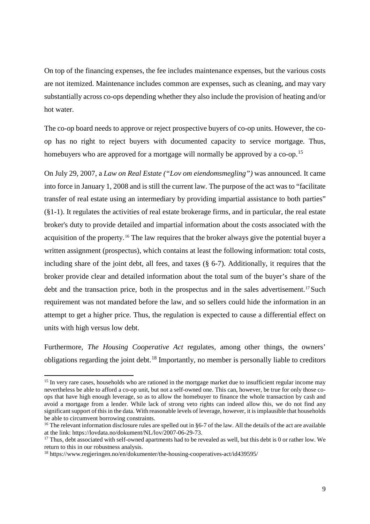On top of the financing expenses, the fee includes maintenance expenses, but the various costs are not itemized. Maintenance includes common are expenses, such as cleaning, and may vary substantially across co-ops depending whether they also include the provision of heating and/or hot water.

The co-op board needs to approve or reject prospective buyers of co-op units. However, the coop has no right to reject buyers with documented capacity to service mortgage. Thus, homebuyers who are approved for a mortgage will normally be approved by a co-op.<sup>[15](#page-11-0)</sup>

On July 29, 2007, a *Law on Real Estate (["Lov om eiendomsmegling"](https://www.google.hu/url?sa=t&rct=j&q=&esrc=s&source=web&cd=1&cad=rja&uact=8&ved=0ahUKEwiK9Ia5iu7NAhVKDiwKHfKeD2cQFggcMAA&url=https%3A%2F%2Flovdata.no%2Fdokument%2FNL%2Flov%2F2007-06-29-73&usg=AFQjCNH11YC1OXLzaErkhWOgJ7hFtjIEaA&sig2=opVYzmp-9Tb40odypmqGIQ))* was announced. It came into force in January 1, 2008 and is still the current law. The purpose of the act was to "facilitate transfer of real estate using an intermediary by providing impartial assistance to both parties" (§1-1). It regulates the activities of real estate brokerage firms, and in particular, the real estate broker's duty to provide detailed and impartial information about the costs associated with the acquisition of the property. [16](#page-11-1) The law requires that the broker always give the potential buyer a written assignment (prospectus), which contains at least the following information: total costs, including share of the joint debt, all fees, and taxes (§ 6-7). Additionally, it requires that the broker provide clear and detailed information about the total sum of the buyer's share of the debt and the transaction price, both in the prospectus and in the sales advertisement.<sup>[17](#page-11-2)</sup> Such requirement was not mandated before the law, and so sellers could hide the information in an attempt to get a higher price. Thus, the regulation is expected to cause a differential effect on units with high versus low debt.

Furthermore, *The Housing Cooperative Act* regulates, among other things, the owners' obligations regarding the joint debt.<sup>[18](#page-11-3)</sup> Importantly, no member is personally liable to creditors

<span id="page-11-0"></span><sup>&</sup>lt;sup>15</sup> In very rare cases, households who are rationed in the mortgage market due to insufficient regular income may nevertheless be able to afford a co-op unit, but not a self-owned one. This can, however, be true for only those coops that have high enough leverage, so as to allow the homebuyer to finance the whole transaction by cash and avoid a mortgage from a lender. While lack of strong veto rights can indeed allow this, we do not find any significant support of this in the data. With reasonable levels of leverage, however, it is implausible that households be able to circumvent borrowing constraints.

<span id="page-11-1"></span><sup>&</sup>lt;sup>16</sup> The relevant information disclosure rules are spelled out in §6-7 of the law. All the details of the act are available at the link: https://lovdata.no/dokument/NL/lov/2007-06-29-73.

<span id="page-11-2"></span> $17$  Thus, debt associated with self-owned apartments had to be revealed as well, but this debt is 0 or rather low. We return to this in our robustness analysis.

<span id="page-11-3"></span><sup>18</sup> https://www.regjeringen.no/en/dokumenter/the-housing-cooperatives-act/id439595/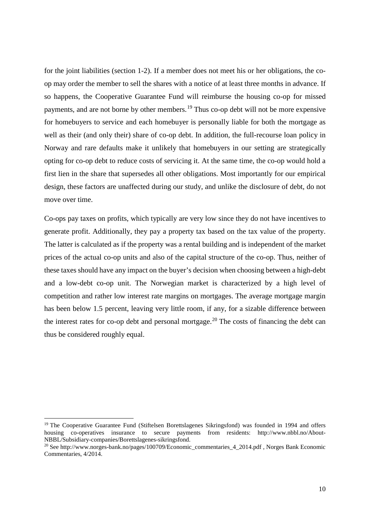for the joint liabilities (section 1-2). If a member does not meet his or her obligations, the coop may order the member to sell the shares with a notice of at least three months in advance. If so happens, the Cooperative Guarantee Fund will reimburse the housing co-op for missed payments, and are not borne by other members.<sup>[19](#page-12-0)</sup> Thus co-op debt will not be more expensive for homebuyers to service and each homebuyer is personally liable for both the mortgage as well as their (and only their) share of co-op debt. In addition, the full-recourse loan policy in Norway and rare defaults make it unlikely that homebuyers in our setting are strategically opting for co-op debt to reduce costs of servicing it. At the same time, the co-op would hold a first lien in the share that supersedes all other obligations. Most importantly for our empirical design, these factors are unaffected during our study, and unlike the disclosure of debt, do not move over time.

Co-ops pay taxes on profits, which typically are very low since they do not have incentives to generate profit. Additionally, they pay a property tax based on the tax value of the property. The latter is calculated as if the property was a rental building and is independent of the market prices of the actual co-op units and also of the capital structure of the co-op. Thus, neither of these taxes should have any impact on the buyer's decision when choosing between a high-debt and a low-debt co-op unit. The Norwegian market is characterized by a high level of competition and rather low interest rate margins on mortgages. The average mortgage margin has been below 1.5 percent, leaving very little room, if any, for a sizable difference between the interest rates for co-op debt and personal mortgage.<sup>[20](#page-12-1)</sup> The costs of financing the debt can thus be considered roughly equal.

<span id="page-12-0"></span><sup>&</sup>lt;sup>19</sup> The Cooperative Guarantee Fund (Stiftelsen Borettslagenes Sikringsfond) was founded in 1994 and offers housing co-operatives insurance to secure payments from residents: http://www.nbbl.no/About-NBBL/Subsidiary-companies/Borettslagenes-sikringsfond.

<span id="page-12-1"></span><sup>&</sup>lt;sup>20</sup> See http://www.norges-bank.no/pages/100709/Economic\_commentaries\_4\_2014.pdf , Norges Bank Economic Commentaries, 4/2014.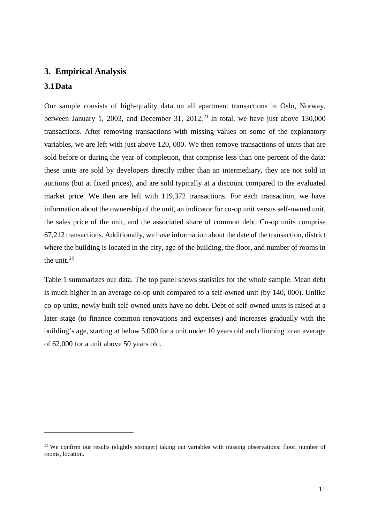#### **3. Empirical Analysis**

#### **3.1Data**

 $\overline{a}$ 

Our sample consists of high-quality data on all apartment transactions in Oslo, Norway, between January 1, 2003, and December 31, 2012.<sup>[21](#page-13-0)</sup> In total, we have just above 130,000 transactions. After removing transactions with missing values on some of the explanatory variables, we are left with just above 120, 000. We then remove transactions of units that are sold before or during the year of completion, that comprise less than one percent of the data: these units are sold by developers directly rather than an intermediary, they are not sold in auctions (but at fixed prices), and are sold typically at a discount compared to the evaluated market price. We then are left with 119,372 transactions. For each transaction, we have information about the ownership of the unit, an indicator for co-op unit versus self-owned unit, the sales price of the unit, and the associated share of common debt. Co-op units comprise 67,212 transactions. Additionally, we have information about the date of the transaction, district where the building is located in the city, age of the building, the floor, and number of rooms in the unit. $^{22}$  $^{22}$  $^{22}$ 

Table 1 summarizes our data. The top panel shows statistics for the whole sample. Mean debt is much higher in an average co-op unit compared to a self-owned unit (by 140, 000). Unlike co-op units, newly built self-owned units have no debt. Debt of self-owned units is raised at a later stage (to finance common renovations and expenses) and increases gradually with the building's age, starting at below 5,000 for a unit under 10 years old and climbing to an average of 62,000 for a unit above 50 years old.

<span id="page-13-1"></span><span id="page-13-0"></span><sup>&</sup>lt;sup>22</sup> We confirm our results (slightly stronger) taking out variables with missing observations: floor, number of rooms, location.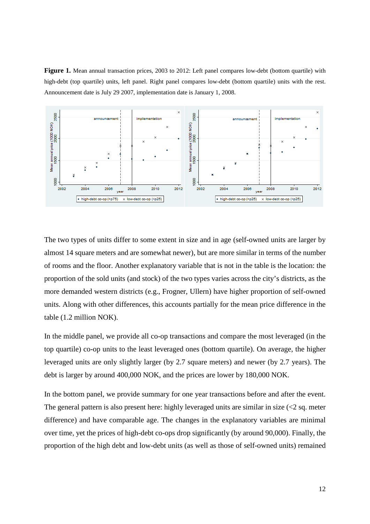**Figure 1.** Mean annual transaction prices, 2003 to 2012: Left panel compares low-debt (bottom quartile) with high-debt (top quartile) units, left panel. Right panel compares low-debt (bottom quartile) units with the rest. Announcement date is July 29 2007, implementation date is January 1, 2008.



The two types of units differ to some extent in size and in age (self-owned units are larger by almost 14 square meters and are somewhat newer), but are more similar in terms of the number of rooms and the floor. Another explanatory variable that is not in the table is the location: the proportion of the sold units (and stock) of the two types varies across the city's districts, as the more demanded western districts (e.g., Frogner, Ullern) have higher proportion of self-owned units. Along with other differences, this accounts partially for the mean price difference in the table (1.2 million NOK).

In the middle panel, we provide all co-op transactions and compare the most leveraged (in the top quartile) co-op units to the least leveraged ones (bottom quartile). On average, the higher leveraged units are only slightly larger (by 2.7 square meters) and newer (by 2.7 years). The debt is larger by around 400,000 NOK, and the prices are lower by 180,000 NOK.

In the bottom panel, we provide summary for one year transactions before and after the event. The general pattern is also present here: highly leveraged units are similar in size  $\ll$  2 sq. meter difference) and have comparable age. The changes in the explanatory variables are minimal over time, yet the prices of high-debt co-ops drop significantly (by around 90,000). Finally, the proportion of the high debt and low-debt units (as well as those of self-owned units) remained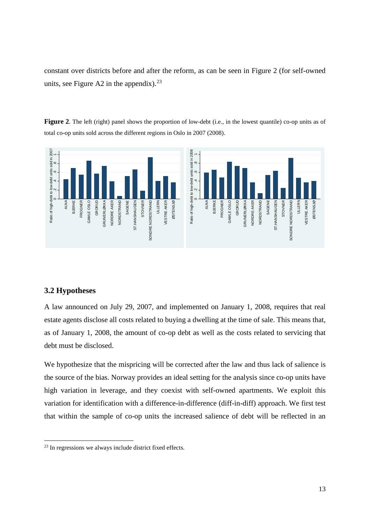constant over districts before and after the reform, as can be seen in Figure 2 (for self-owned units, see Figure A2 in the appendix).  $2^3$ 

**Figure 2**. The left (right) panel shows the proportion of low-debt (i.e., in the lowest quantile) co-op units as of total co-op units sold across the different regions in Oslo in 2007 (2008).



#### **3.2 Hypotheses**

 $\overline{a}$ 

A law announced on July 29, 2007, and implemented on January 1, 2008, requires that real estate agents disclose all costs related to buying a dwelling at the time of sale. This means that, as of January 1, 2008, the amount of co-op debt as well as the costs related to servicing that debt must be disclosed.

We hypothesize that the mispricing will be corrected after the law and thus lack of salience is the source of the bias. Norway provides an ideal setting for the analysis since co-op units have high variation in leverage, and they coexist with self-owned apartments. We exploit this variation for identification with a difference-in-difference (diff-in-diff) approach. We first test that within the sample of co-op units the increased salience of debt will be reflected in an

<span id="page-15-0"></span><sup>&</sup>lt;sup>23</sup> In regressions we always include district fixed effects.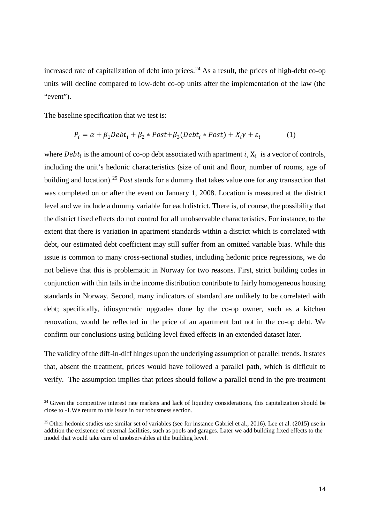increased rate of capitalization of debt into prices.<sup>[24](#page-16-0)</sup> As a result, the prices of high-debt co-op units will decline compared to low-debt co-op units after the implementation of the law (the "event").

The baseline specification that we test is:

 $\overline{a}$ 

$$
P_i = \alpha + \beta_1 Debt_i + \beta_2 * Post + \beta_3 (Debt_i * Post) + X_i \gamma + \varepsilon_i \tag{1}
$$

where  $Debt_i$  is the amount of co-op debt associated with apartment i,  $X_i$  is a vector of controls, including the unit's hedonic characteristics (size of unit and floor, number of rooms, age of building and location).[25](#page-16-1) *Post* stands for a dummy that takes value one for any transaction that was completed on or after the event on January 1, 2008. Location is measured at the district level and we include a dummy variable for each district. There is, of course, the possibility that the district fixed effects do not control for all unobservable characteristics. For instance, to the extent that there is variation in apartment standards within a district which is correlated with debt, our estimated debt coefficient may still suffer from an omitted variable bias. While this issue is common to many cross-sectional studies, including hedonic price regressions, we do not believe that this is problematic in Norway for two reasons. First, strict building codes in conjunction with thin tails in the income distribution contribute to fairly homogeneous housing standards in Norway. Second, many indicators of standard are unlikely to be correlated with debt; specifically, idiosyncratic upgrades done by the co-op owner, such as a kitchen renovation, would be reflected in the price of an apartment but not in the co-op debt. We confirm our conclusions using building level fixed effects in an extended dataset later.

The validity of the diff-in-diff hinges upon the underlying assumption of parallel trends. It states that, absent the treatment, prices would have followed a parallel path, which is difficult to verify. The assumption implies that prices should follow a parallel trend in the pre-treatment

<span id="page-16-0"></span><sup>&</sup>lt;sup>24</sup> Given the competitive interest rate markets and lack of liquidity considerations, this capitalization should be close to -1.We return to this issue in our robustness section.

<span id="page-16-1"></span><sup>&</sup>lt;sup>25</sup> Other hedonic studies use similar set of variables (see for instance Gabriel et al., 2016). Lee et al. (2015) use in addition the existence of external facilities, such as pools and garages. Later we add building fixed effects to the model that would take care of unobservables at the building level.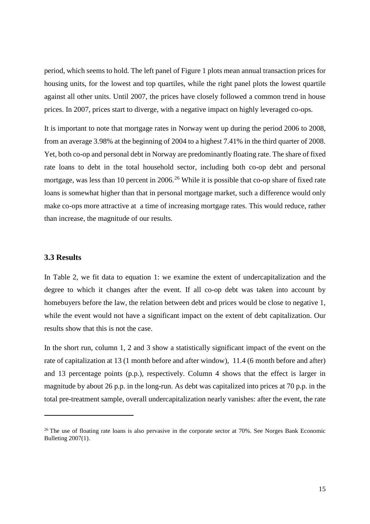period, which seems to hold. The left panel of Figure 1 plots mean annual transaction prices for housing units, for the lowest and top quartiles, while the right panel plots the lowest quartile against all other units. Until 2007, the prices have closely followed a common trend in house prices. In 2007, prices start to diverge, with a negative impact on highly leveraged co-ops.

It is important to note that mortgage rates in Norway went up during the period 2006 to 2008, from an average 3.98% at the beginning of 2004 to a highest 7.41% in the third quarter of 2008. Yet, both co-op and personal debt in Norway are predominantly floating rate. The share of fixed rate loans to debt in the total household sector, including both co-op debt and personal mortgage, was less than 10 percent in 2006.<sup>[26](#page-17-0)</sup> While it is possible that co-op share of fixed rate loans is somewhat higher than that in personal mortgage market, such a difference would only make co-ops more attractive at a time of increasing mortgage rates. This would reduce, rather than increase, the magnitude of our results.

#### **3.3 Results**

 $\overline{a}$ 

In Table 2, we fit data to equation 1: we examine the extent of undercapitalization and the degree to which it changes after the event. If all co-op debt was taken into account by homebuyers before the law, the relation between debt and prices would be close to negative 1, while the event would not have a significant impact on the extent of debt capitalization. Our results show that this is not the case.

In the short run, column 1, 2 and 3 show a statistically significant impact of the event on the rate of capitalization at 13 (1 month before and after window), 11.4 (6 month before and after) and 13 percentage points (p.p.), respectively. Column 4 shows that the effect is larger in magnitude by about 26 p.p. in the long-run. As debt was capitalized into prices at 70 p.p. in the total pre-treatment sample, overall undercapitalization nearly vanishes: after the event, the rate

<span id="page-17-0"></span><sup>&</sup>lt;sup>26</sup> The use of floating rate loans is also pervasive in the corporate sector at 70%. See Norges Bank Economic Bulleting 2007(1).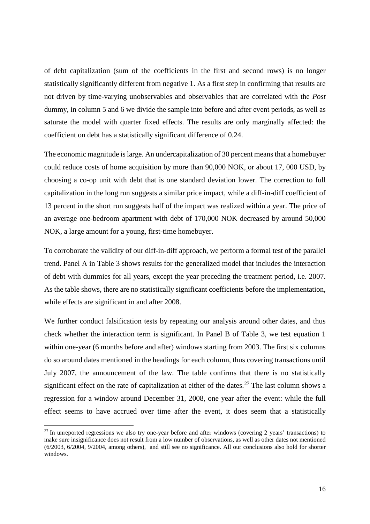of debt capitalization (sum of the coefficients in the first and second rows) is no longer statistically significantly different from negative 1. As a first step in confirming that results are not driven by time-varying unobservables and observables that are correlated with the *Post* dummy, in column 5 and 6 we divide the sample into before and after event periods, as well as saturate the model with quarter fixed effects. The results are only marginally affected: the coefficient on debt has a statistically significant difference of 0.24.

The economic magnitude is large. An undercapitalization of 30 percent means that a homebuyer could reduce costs of home acquisition by more than 90,000 NOK, or about 17, 000 USD, by choosing a co-op unit with debt that is one standard deviation lower. The correction to full capitalization in the long run suggests a similar price impact, while a diff-in-diff coefficient of 13 percent in the short run suggests half of the impact was realized within a year. The price of an average one-bedroom apartment with debt of 170,000 NOK decreased by around 50,000 NOK, a large amount for a young, first-time homebuyer.

To corroborate the validity of our diff-in-diff approach, we perform a formal test of the parallel trend. Panel A in Table 3 shows results for the generalized model that includes the interaction of debt with dummies for all years, except the year preceding the treatment period, i.e. 2007. As the table shows, there are no statistically significant coefficients before the implementation, while effects are significant in and after 2008.

We further conduct falsification tests by repeating our analysis around other dates, and thus check whether the interaction term is significant. In Panel B of Table 3, we test equation 1 within one-year (6 months before and after) windows starting from 2003. The first six columns do so around dates mentioned in the headings for each column, thus covering transactions until July 2007, the announcement of the law. The table confirms that there is no statistically significant effect on the rate of capitalization at either of the dates.<sup>[27](#page-18-0)</sup> The last column shows a regression for a window around December 31, 2008, one year after the event: while the full effect seems to have accrued over time after the event, it does seem that a statistically

<span id="page-18-0"></span> $^{27}$  In unreported regressions we also try one-year before and after windows (covering 2 years' transactions) to make sure insignificance does not result from a low number of observations, as well as other dates not mentioned (6/2003, 6/2004, 9/2004, among others), and still see no significance. All our conclusions also hold for shorter windows.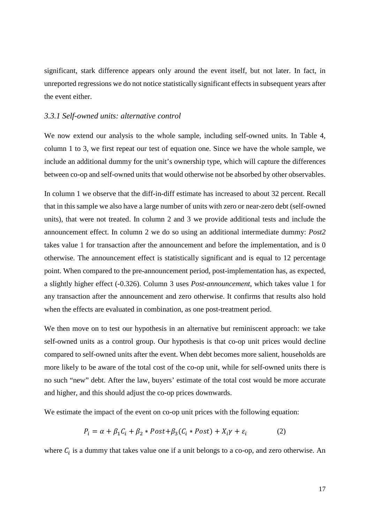significant, stark difference appears only around the event itself, but not later. In fact, in unreported regressions we do not notice statistically significant effects in subsequent years after the event either.

#### *3.3.1 Self-owned units: alternative control*

We now extend our analysis to the whole sample, including self-owned units. In Table 4, column 1 to 3, we first repeat our test of equation one. Since we have the whole sample, we include an additional dummy for the unit's ownership type, which will capture the differences between co-op and self-owned units that would otherwise not be absorbed by other observables.

In column 1 we observe that the diff-in-diff estimate has increased to about 32 percent. Recall that in this sample we also have a large number of units with zero or near-zero debt (self-owned units), that were not treated. In column 2 and 3 we provide additional tests and include the announcement effect. In column 2 we do so using an additional intermediate dummy: *Post2* takes value 1 for transaction after the announcement and before the implementation, and is 0 otherwise. The announcement effect is statistically significant and is equal to 12 percentage point. When compared to the pre-announcement period, post-implementation has, as expected, a slightly higher effect (-0.326). Column 3 uses *Post-announcement*, which takes value 1 for any transaction after the announcement and zero otherwise. It confirms that results also hold when the effects are evaluated in combination, as one post-treatment period.

We then move on to test our hypothesis in an alternative but reminiscent approach: we take self-owned units as a control group. Our hypothesis is that co-op unit prices would decline compared to self-owned units after the event. When debt becomes more salient, households are more likely to be aware of the total cost of the co-op unit, while for self-owned units there is no such "new" debt. After the law, buyers' estimate of the total cost would be more accurate and higher, and this should adjust the co-op prices downwards.

We estimate the impact of the event on co-op unit prices with the following equation:

$$
P_i = \alpha + \beta_1 C_i + \beta_2 * Post + \beta_3 (C_i * Post) + X_i \gamma + \varepsilon_i \tag{2}
$$

where  $C_i$  is a dummy that takes value one if a unit belongs to a co-op, and zero otherwise. An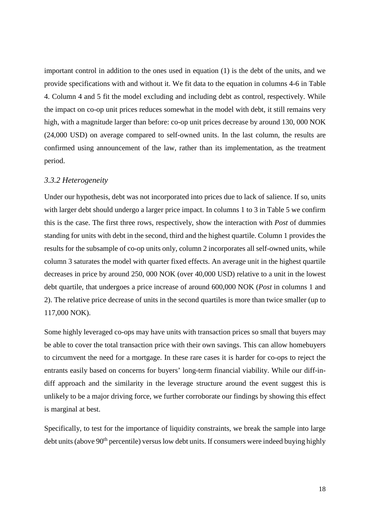important control in addition to the ones used in equation (1) is the debt of the units, and we provide specifications with and without it. We fit data to the equation in columns 4-6 in Table 4. Column 4 and 5 fit the model excluding and including debt as control, respectively. While the impact on co-op unit prices reduces somewhat in the model with debt, it still remains very high, with a magnitude larger than before: co-op unit prices decrease by around 130, 000 NOK (24,000 USD) on average compared to self-owned units. In the last column, the results are confirmed using announcement of the law, rather than its implementation, as the treatment period.

#### *3.3.2 Heterogeneity*

Under our hypothesis, debt was not incorporated into prices due to lack of salience. If so, units with larger debt should undergo a larger price impact. In columns 1 to 3 in Table 5 we confirm this is the case. The first three rows, respectively, show the interaction with *Post* of dummies standing for units with debt in the second, third and the highest quartile. Column 1 provides the results for the subsample of co-op units only, column 2 incorporates all self-owned units, while column 3 saturates the model with quarter fixed effects. An average unit in the highest quartile decreases in price by around 250, 000 NOK (over 40,000 USD) relative to a unit in the lowest debt quartile, that undergoes a price increase of around 600,000 NOK (*Post* in columns 1 and 2). The relative price decrease of units in the second quartiles is more than twice smaller (up to 117,000 NOK).

Some highly leveraged co-ops may have units with transaction prices so small that buyers may be able to cover the total transaction price with their own savings. This can allow homebuyers to circumvent the need for a mortgage. In these rare cases it is harder for co-ops to reject the entrants easily based on concerns for buyers' long-term financial viability. While our diff-indiff approach and the similarity in the leverage structure around the event suggest this is unlikely to be a major driving force, we further corroborate our findings by showing this effect is marginal at best.

Specifically, to test for the importance of liquidity constraints, we break the sample into large debt units (above 90<sup>th</sup> percentile) versus low debt units. If consumers were indeed buying highly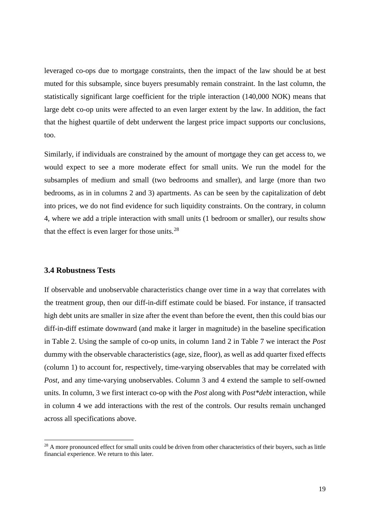leveraged co-ops due to mortgage constraints, then the impact of the law should be at best muted for this subsample, since buyers presumably remain constraint. In the last column, the statistically significant large coefficient for the triple interaction (140,000 NOK) means that large debt co-op units were affected to an even larger extent by the law. In addition, the fact that the highest quartile of debt underwent the largest price impact supports our conclusions, too.

Similarly, if individuals are constrained by the amount of mortgage they can get access to, we would expect to see a more moderate effect for small units. We run the model for the subsamples of medium and small (two bedrooms and smaller), and large (more than two bedrooms, as in in columns 2 and 3) apartments. As can be seen by the capitalization of debt into prices, we do not find evidence for such liquidity constraints. On the contrary, in column 4, where we add a triple interaction with small units (1 bedroom or smaller), our results show that the effect is even larger for those units. $^{28}$  $^{28}$  $^{28}$ 

#### **3.4 Robustness Tests**

 $\overline{a}$ 

If observable and unobservable characteristics change over time in a way that correlates with the treatment group, then our diff-in-diff estimate could be biased. For instance, if transacted high debt units are smaller in size after the event than before the event, then this could bias our diff-in-diff estimate downward (and make it larger in magnitude) in the baseline specification in Table 2. Using the sample of co-op units, in column 1and 2 in Table 7 we interact the *Post* dummy with the observable characteristics (age, size, floor), as well as add quarter fixed effects (column 1) to account for, respectively, time-varying observables that may be correlated with *Post*, and any time-varying unobservables. Column 3 and 4 extend the sample to self-owned units. In column, 3 we first interact co-op with the *Post* along with *Post\*debt* interaction, while in column 4 we add interactions with the rest of the controls. Our results remain unchanged across all specifications above.

<span id="page-21-0"></span> $28$  A more pronounced effect for small units could be driven from other characteristics of their buyers, such as little financial experience. We return to this later.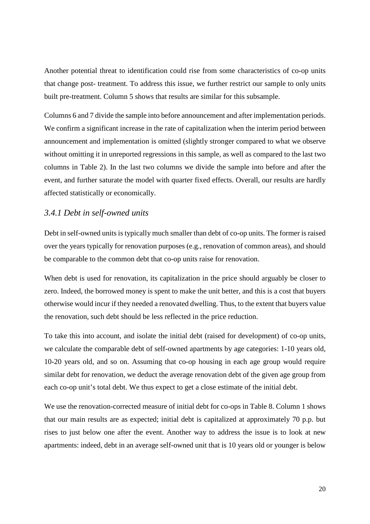Another potential threat to identification could rise from some characteristics of co-op units that change post- treatment. To address this issue, we further restrict our sample to only units built pre-treatment. Column 5 shows that results are similar for this subsample.

Columns 6 and 7 divide the sample into before announcement and after implementation periods. We confirm a significant increase in the rate of capitalization when the interim period between announcement and implementation is omitted (slightly stronger compared to what we observe without omitting it in unreported regressions in this sample, as well as compared to the last two columns in Table 2). In the last two columns we divide the sample into before and after the event, and further saturate the model with quarter fixed effects. Overall, our results are hardly affected statistically or economically.

#### *3.4.1 Debt in self-owned units*

Debt in self-owned units is typically much smaller than debt of co-op units. The former is raised over the years typically for renovation purposes (e.g., renovation of common areas), and should be comparable to the common debt that co-op units raise for renovation.

When debt is used for renovation, its capitalization in the price should arguably be closer to zero. Indeed, the borrowed money is spent to make the unit better, and this is a cost that buyers otherwise would incur if they needed a renovated dwelling. Thus, to the extent that buyers value the renovation, such debt should be less reflected in the price reduction.

To take this into account, and isolate the initial debt (raised for development) of co-op units, we calculate the comparable debt of self-owned apartments by age categories: 1-10 years old, 10-20 years old, and so on. Assuming that co-op housing in each age group would require similar debt for renovation, we deduct the average renovation debt of the given age group from each co-op unit's total debt. We thus expect to get a close estimate of the initial debt.

We use the renovation-corrected measure of initial debt for co-ops in Table 8. Column 1 shows that our main results are as expected; initial debt is capitalized at approximately 70 p.p. but rises to just below one after the event. Another way to address the issue is to look at new apartments: indeed, debt in an average self-owned unit that is 10 years old or younger is below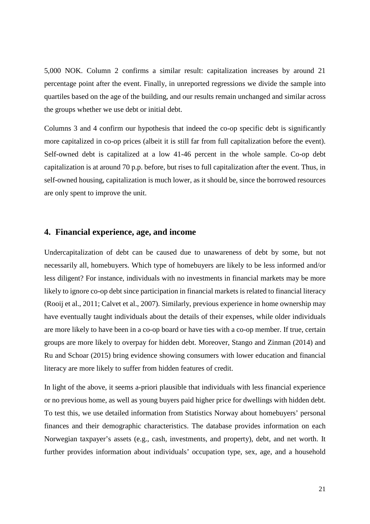5,000 NOK. Column 2 confirms a similar result: capitalization increases by around 21 percentage point after the event. Finally, in unreported regressions we divide the sample into quartiles based on the age of the building, and our results remain unchanged and similar across the groups whether we use debt or initial debt.

Columns 3 and 4 confirm our hypothesis that indeed the co-op specific debt is significantly more capitalized in co-op prices (albeit it is still far from full capitalization before the event). Self-owned debt is capitalized at a low 41-46 percent in the whole sample. Co-op debt capitalization is at around 70 p.p. before, but rises to full capitalization after the event. Thus, in self-owned housing, capitalization is much lower, as it should be, since the borrowed resources are only spent to improve the unit.

#### **4. Financial experience, age, and income**

Undercapitalization of debt can be caused due to unawareness of debt by some, but not necessarily all, homebuyers. Which type of homebuyers are likely to be less informed and/or less diligent? For instance, individuals with no investments in financial markets may be more likely to ignore co-op debt since participation in financial markets is related to financial literacy (Rooij et al., 2011; Calvet et al., 2007). Similarly, previous experience in home ownership may have eventually taught individuals about the details of their expenses, while older individuals are more likely to have been in a co-op board or have ties with a co-op member. If true, certain groups are more likely to overpay for hidden debt. Moreover, Stango and Zinman (2014) and Ru and Schoar (2015) bring evidence showing consumers with lower education and financial literacy are more likely to suffer from hidden features of credit.

In light of the above, it seems a-priori plausible that individuals with less financial experience or no previous home, as well as young buyers paid higher price for dwellings with hidden debt. To test this, we use detailed information from Statistics Norway about homebuyers' personal finances and their demographic characteristics. The database provides information on each Norwegian taxpayer's assets (e.g., cash, investments, and property), debt, and net worth. It further provides information about individuals' occupation type, sex, age, and a household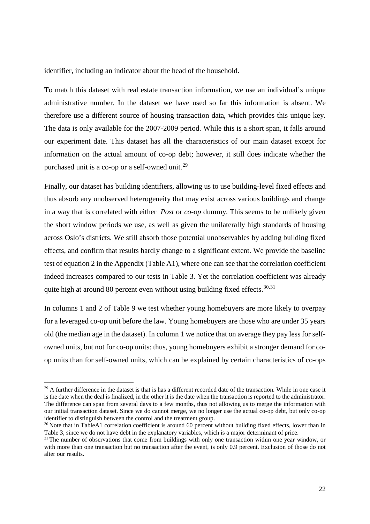identifier, including an indicator about the head of the household.

To match this dataset with real estate transaction information, we use an individual's unique administrative number. In the dataset we have used so far this information is absent. We therefore use a different source of housing transaction data, which provides this unique key. The data is only available for the 2007-2009 period. While this is a short span, it falls around our experiment date. This dataset has all the characteristics of our main dataset except for information on the actual amount of co-op debt; however, it still does indicate whether the purchased unit is a co-op or a self-owned unit.<sup>[29](#page-24-0)</sup>

Finally, our dataset has building identifiers, allowing us to use building-level fixed effects and thus absorb any unobserved heterogeneity that may exist across various buildings and change in a way that is correlated with either *Post* or *co-op* dummy. This seems to be unlikely given the short window periods we use, as well as given the unilaterally high standards of housing across Oslo's districts. We still absorb those potential unobservables by adding building fixed effects, and confirm that results hardly change to a significant extent. We provide the baseline test of equation 2 in the Appendix (Table A1), where one can see that the correlation coefficient indeed increases compared to our tests in Table 3. Yet the correlation coefficient was already quite high at around 80 percent even without using building fixed effects.  $30,31$  $30,31$  $30,31$ 

In columns 1 and 2 of Table 9 we test whether young homebuyers are more likely to overpay for a leveraged co-op unit before the law. Young homebuyers are those who are under 35 years old (the median age in the dataset). In column 1 we notice that on average they pay less for selfowned units, but not for co-op units: thus, young homebuyers exhibit a stronger demand for coop units than for self-owned units, which can be explained by certain characteristics of co-ops

<span id="page-24-0"></span> $29$  A further difference in the dataset is that is has a different recorded date of the transaction. While in one case it is the date when the deal is finalized, in the other it is the date when the transaction is reported to the administrator. The difference can span from several days to a few months, thus not allowing us to merge the information with our initial transaction dataset. Since we do cannot merge, we no longer use the actual co-op debt, but only co-op identifier to distinguish between the control and the treatment group.

<span id="page-24-1"></span><sup>&</sup>lt;sup>30</sup> Note that in TableA1 correlation coefficient is around 60 percent without building fixed effects, lower than in Table 3, since we do not have debt in the explanatory variables, which is a major determinant of price.

<span id="page-24-2"></span><sup>&</sup>lt;sup>31</sup> The number of observations that come from buildings with only one transaction within one year window, or with more than one transaction but no transaction after the event, is only 0.9 percent. Exclusion of those do not alter our results.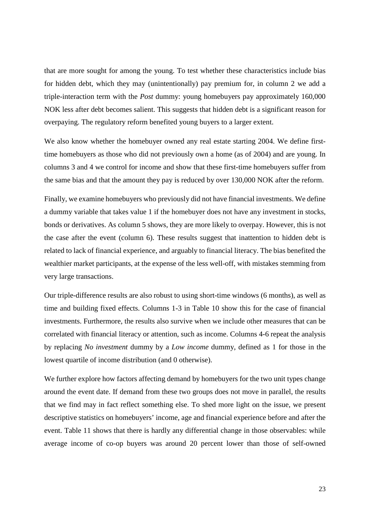that are more sought for among the young. To test whether these characteristics include bias for hidden debt, which they may (unintentionally) pay premium for, in column 2 we add a triple-interaction term with the *Post* dummy: young homebuyers pay approximately 160,000 NOK less after debt becomes salient. This suggests that hidden debt is a significant reason for overpaying. The regulatory reform benefited young buyers to a larger extent.

We also know whether the homebuyer owned any real estate starting 2004. We define firsttime homebuyers as those who did not previously own a home (as of 2004) and are young. In columns 3 and 4 we control for income and show that these first-time homebuyers suffer from the same bias and that the amount they pay is reduced by over 130,000 NOK after the reform.

Finally, we examine homebuyers who previously did not have financial investments. We define a dummy variable that takes value 1 if the homebuyer does not have any investment in stocks, bonds or derivatives. As column 5 shows, they are more likely to overpay. However, this is not the case after the event (column 6). These results suggest that inattention to hidden debt is related to lack of financial experience, and arguably to financial literacy. The bias benefited the wealthier market participants, at the expense of the less well-off, with mistakes stemming from very large transactions.

Our triple-difference results are also robust to using short-time windows (6 months), as well as time and building fixed effects. Columns 1-3 in Table 10 show this for the case of financial investments. Furthermore, the results also survive when we include other measures that can be correlated with financial literacy or attention, such as income. Columns 4-6 repeat the analysis by replacing *No investment* dummy by a *Low income* dummy, defined as 1 for those in the lowest quartile of income distribution (and 0 otherwise).

We further explore how factors affecting demand by homebuyers for the two unit types change around the event date. If demand from these two groups does not move in parallel, the results that we find may in fact reflect something else. To shed more light on the issue, we present descriptive statistics on homebuyers' income, age and financial experience before and after the event. Table 11 shows that there is hardly any differential change in those observables: while average income of co-op buyers was around 20 percent lower than those of self-owned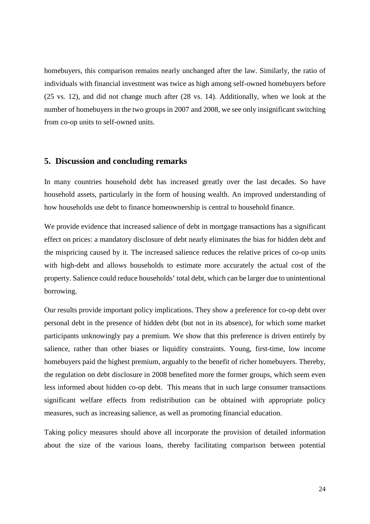homebuyers, this comparison remains nearly unchanged after the law. Similarly, the ratio of individuals with financial investment was twice as high among self-owned homebuyers before (25 vs. 12), and did not change much after (28 vs. 14). Additionally, when we look at the number of homebuyers in the two groups in 2007 and 2008, we see only insignificant switching from co-op units to self-owned units.

#### **5. Discussion and concluding remarks**

In many countries household debt has increased greatly over the last decades. So have household assets, particularly in the form of housing wealth. An improved understanding of how households use debt to finance homeownership is central to household finance.

We provide evidence that increased salience of debt in mortgage transactions has a significant effect on prices: a mandatory disclosure of debt nearly eliminates the bias for hidden debt and the mispricing caused by it. The increased salience reduces the relative prices of co-op units with high-debt and allows households to estimate more accurately the actual cost of the property. Salience could reduce households' total debt, which can be larger due to unintentional borrowing.

Our results provide important policy implications. They show a preference for co-op debt over personal debt in the presence of hidden debt (but not in its absence), for which some market participants unknowingly pay a premium. We show that this preference is driven entirely by salience, rather than other biases or liquidity constraints. Young, first-time, low income homebuyers paid the highest premium, arguably to the benefit of richer homebuyers. Thereby, the regulation on debt disclosure in 2008 benefited more the former groups, which seem even less informed about hidden co-op debt. This means that in such large consumer transactions significant welfare effects from redistribution can be obtained with appropriate policy measures, such as increasing salience, as well as promoting financial education.

Taking policy measures should above all incorporate the provision of detailed information about the size of the various loans, thereby facilitating comparison between potential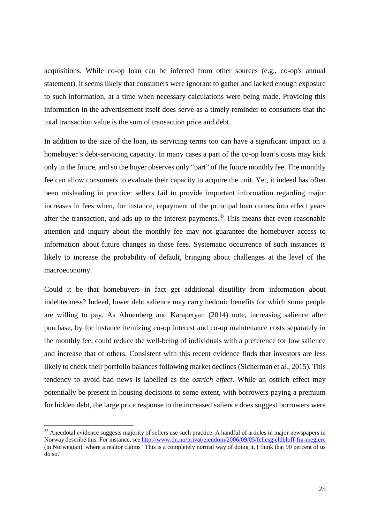acquisitions. While co-op loan can be inferred from other sources (e.g., co-op's annual statement), it seems likely that consumers were ignorant to gather and lacked enough exposure to such information, at a time when necessary calculations were being made. Providing this information in the advertisement itself does serve as a timely reminder to consumers that the total transaction value is the sum of transaction price and debt.

In addition to the size of the loan, its servicing terms too can have a significant impact on a homebuyer's debt-servicing capacity. In many cases a part of the co-op loan's costs may kick only in the future, and so the buyer observes only "part" of the future monthly fee. The monthly fee can allow consumers to evaluate their capacity to acquire the unit. Yet, it indeed has often been misleading in practice: sellers fail to provide important information regarding major increases in fees when, for instance, repayment of the principal loan comes into effect years after the transaction, and ads up to the interest payments.<sup>[32](#page-27-0)</sup> This means that even reasonable attention and inquiry about the monthly fee may not guarantee the homebuyer access to information about future changes in those fees. Systematic occurrence of such instances is likely to increase the probability of default, bringing about challenges at the level of the macroeconomy.

Could it be that homebuyers in fact get additional disutility from information about indebtedness? Indeed, lower debt salience may carry hedonic benefits for which some people are willing to pay. As Almenberg and Karapetyan (2014) note, increasing salience after purchase, by for instance itemizing co-op interest and co-op maintenance costs separately in the monthly fee, could reduce the well-being of individuals with a preference for low salience and increase that of others. Consistent with this recent evidence finds that investors are less likely to check their portfolio balances following market declines (Sicherman et al., 2015). This tendency to avoid bad news is labelled as the *ostrich effect*. While an ostrich effect may potentially be present in housing decisions to some extent, with borrowers paying a premium for hidden debt, the large price response to the increased salience does suggest borrowers were

<span id="page-27-0"></span><sup>&</sup>lt;sup>32</sup> Anecdotal evidence suggests majority of sellers use such practice. A handful of articles in major newspapers in Norway describe this. For instance, see<http://www.dn.no/privat/eiendom/2006/09/05/fellesgjeldbloff-fra-meglere> (in Norwegian), where a realtor claims "This is a completely normal way of doing it. I think that 90 percent of us do so."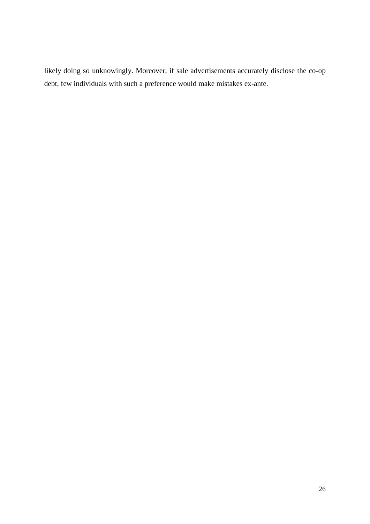likely doing so unknowingly. Moreover, if sale advertisements accurately disclose the co-op debt, few individuals with such a preference would make mistakes ex-ante.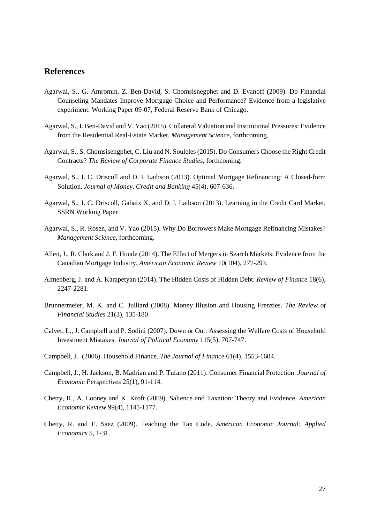#### **References**

- Agarwal, S., G. Amromin, Z. Ben-David, S. Chomsisnegphet and D. Evanoff (2009). Do Financial Counseling Mandates Improve Mortgage Choice and Performance? Evidence from a legislative experiment. [Working Paper 09-07,](http://econpapers.repec.org/paper/fipfedhwp/) [Federal Reserve Bank of Chicago.](http://www.chicagofed.org/)
- Agarwal, S., I. Ben-David and V. Yao (2015)[. Collateral Valuation and Institutional Pressures: Evidence](http://papers.ssrn.com/sol3/papers.cfm?abstract_id=2367433)  [from the Residential Real-Estate Market.](http://papers.ssrn.com/sol3/papers.cfm?abstract_id=2367433) *Management Science,* forthcoming.
- Agarwal, S., S. Chomsisengphet, C. Liu and N. Souleles (2015). Do Consumers Choose the Right Credit Contracts? *The Review of Corporate Finance Studies*, forthcoming.
- Agarwal, S., J. C. Driscoll and D. I. Laibson (2013). Optimal Mortgage Refinancing: A Closed-form Solution. *Journal of Money, Credit and Banking* 45(4), 607-636.
- Agarwal, S., J. C. Driscoll, Gabaix X. and D. I. Laibson (2013). Learning in the Credit Card Market, SSRN Working Paper
- Agarwal, S., R. Rosen, and V. Yao (2015). Why Do Borrowers Make Mortgage Refinancing Mistakes? *Management Science*, forthcoming.
- Allen, J., R. Clark and J. F. Houde (2014). The Effect of Mergers in Search Markets: Evidence from the Canadian Mortgage Industry. *American Economic Review* 10(104), 277-293.
- Almenberg, J. and A. Karapetyan (2014). The Hidden Costs of Hidden Debt. *Review of Finance* 18(6), 2247-2281.
- Brunnermeier, M. K. and C. Julliard (2008). Money Illusion and Housing Frenzies. *The Review of Financial Studies* 21(3), 135-180.
- Calvet, L., J. Campbell and P. Sodini (2007). Down or Out: Assessing the Welfare Costs of Household Investment Mistakes. *Journal of Political Economy* 115(5), 707-747.
- Campbell, J. (2006). Household Finance. *The Journal of Finance* 61(4), 1553-1604.
- Campbell, J., H. Jackson, B. Madrian and P. Tufano (2011). Consumer Financial Protection. *Journal of Economic Perspectives* 25(1), 91-114.
- Chetty, R., A. Looney and K. Kroft (2009). Salience and Taxation: Theory and Evidence*. American Economic Review* 99(4), 1145-1177.
- Chetty, R. and E. Saez (2009). Teaching the Tax Code. *American Economic Journal: Applied Economics* 5, 1-31.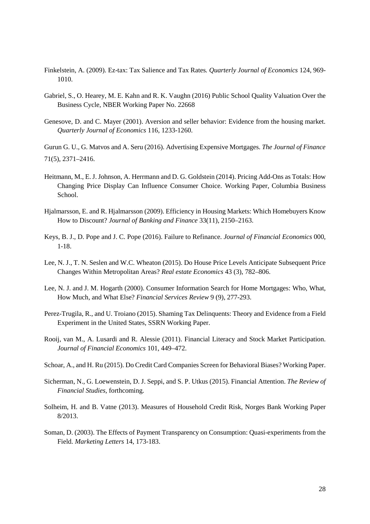- Finkelstein, A. (2009). Ez-tax: Tax Salience and Tax Rates*. Quarterly Journal of Economics* 124, 969- 1010.
- Gabriel, S., O. Hearey, M. E. Kahn and R. K. Vaughn (2016) Public School Quality Valuation Over the Business Cycle, NBER Working Paper No. 22668
- Genesove, D. and C. Mayer (2001). Aversion and seller behavior: Evidence from the housing market. *Quarterly Journal of Economics* 116, 1233-1260.

Gurun G. U., G. Matvos and A. Seru (2016). Advertising Expensive Mortgages. *The Journal of Finance* 71(5), 2371–2416.

- Heitmann, M., E. J. Johnson, A. Herrmann and D. G. Goldstein (2014). Pricing Add-Ons as Totals: How Changing Price Display Can Influence Consumer Choice. Working Paper, Columbia Business School.
- Hjalmarsson, E. and R. Hjalmarsson (2009). Efficiency in Housing Markets: Which Homebuyers Know How to Discount? *Journal of Banking and Finance* 33(11), 2150–2163.
- Keys, B. J., D. Pope and J. C. Pope (2016). Failure to Refinance. *Journal of Financial Economics* 000, 1-18.
- Lee, N. J., T. N. Seslen and W.C. Wheaton (2015). Do House Price Levels Anticipate Subsequent Price Changes Within Metropolitan Areas? *Real estate Economics* 43 (3), 782–806.
- Lee, N. J. and J. M. Hogarth (2000). Consumer Information Search for Home Mortgages: Who, What, How Much, and What Else? *Financial Services Review* 9 (9), 277-293.
- Perez-Trugila, R., and U. Troiano (2015). Shaming Tax Delinquents: Theory and Evidence from a Field Experiment in the United States, SSRN Working Paper.
- Rooij, van M., A. Lusardi and R. Alessie (2011). Financial Literacy and Stock Market Participation. *Journal of Financial Economics* 101, 449–472.
- Schoar, A., and H. Ru (2015). Do Credit Card Companies Screen for Behavioral Biases? Working Paper.
- Sicherman, N., G. Loewenstein, D. J. Seppi, and S. P. Utkus (2015). Financial Attention. *The Review of Financial Studies,* forthcoming.
- Solheim, H. and B. Vatne (2013). Measures of Household Credit Risk, Norges Bank Working Paper 8/2013.
- Soman, D. (2003). The Effects of Payment Transparency on Consumption: Quasi-experiments from the Field. *Marketing Letters* 14, 173-183.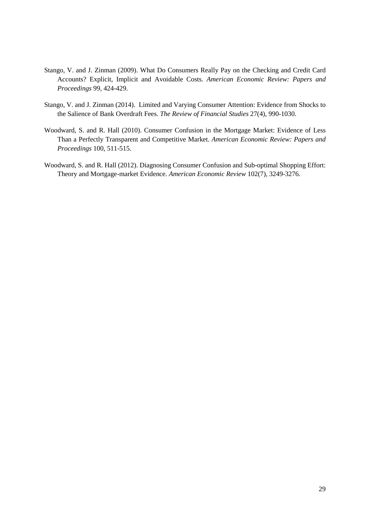- Stango, V. and J. Zinman (2009). What Do Consumers Really Pay on the Checking and Credit Card Accounts? Explicit, Implicit and Avoidable Costs. *American Economic Review: Papers and Proceedings* 99, 424-429.
- Stango, V. and J. Zinman (2014). Limited and Varying Consumer Attention: Evidence from Shocks to the Salience of Bank Overdraft Fees. *The Review of Financial Studies* 27(4), 990-1030.
- Woodward, S. and R. Hall (2010). Consumer Confusion in the Mortgage Market: Evidence of Less Than a Perfectly Transparent and Competitive Market. *American Economic Review: Papers and Proceedings* 100, 511-515.
- Woodward, S. and R. Hall (2012). Diagnosing Consumer Confusion and Sub-optimal Shopping Effort: Theory and Mortgage-market Evidence. *American Economic Review* 102(7), 3249-3276.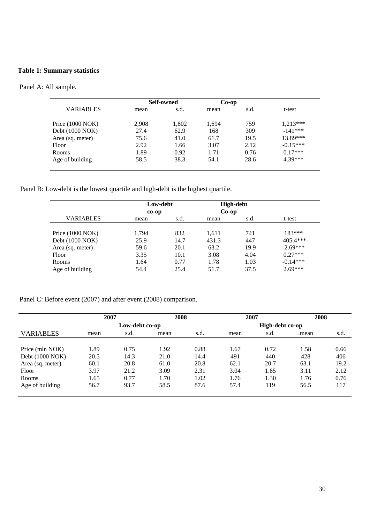#### **Table 1: Summary statistics**

Panel A: All sample.

|                            |       | Self-owned | $Co$ -op |      |            |
|----------------------------|-------|------------|----------|------|------------|
| <b>VARIABLES</b>           | mean  | s.d.       | mean     | s.d. | t-test     |
|                            |       |            |          |      |            |
| Price $(1000 \text{ NOK})$ | 2,908 | 1,802      | 1,694    | 759  | 1.213***   |
| Debt (1000 NOK)            | 27.4  | 62.9       | 168      | 309  | $-141***$  |
| Area (sq. meter)           | 75.6  | 41.0       | 61.7     | 19.5 | 13.89***   |
| Floor                      | 2.92  | 1.66       | 3.07     | 2.12 | $-0.15***$ |
| <b>Rooms</b>               | 1.89  | 0.92       | 1.71     | 0.76 | $0.17***$  |
| Age of building            | 58.5  | 38.3       | 54.1     | 28.6 | 4.39***    |

Panel B: Low-debt is the lowest quartile and high-debt is the highest quartile.

|                  |       | Low-debt<br>$co-op$ |       | High-debt<br>$Co-op$ |             |  |
|------------------|-------|---------------------|-------|----------------------|-------------|--|
| VARIABLES        | mean  | s.d.                | mean  | s.d.                 | t-test      |  |
| Price (1000 NOK) | 1,794 | 832                 | 1,611 | 741                  | $183***$    |  |
| Debt (1000 NOK)  | 25.9  | 14.7                | 431.3 | 447                  | $-405.4***$ |  |
| Area (sq. meter) | 59.6  | 20.1                | 63.2  | 19.9                 | $-2.69***$  |  |
| Floor            | 3.35  | 10.1                | 3.08  | 4.04                 | $0.27***$   |  |
| Rooms            | 1.64  | 0.77                | 1.78  | 1.03                 | $-0.14***$  |  |
| Age of building  | 54.4  | 25.4                | 51.7  | 37.5                 | $2.69***$   |  |

Panel C: Before event (2007) and after event (2008) comparison.

|                  | 2007 |                | 2008 |      | 2007 |                 | 2008  |      |
|------------------|------|----------------|------|------|------|-----------------|-------|------|
|                  |      | Low-debt co-op |      |      |      | High-debt co-op |       |      |
| VARIABLES        | mean | s.d.           | mean | s.d. | mean | s.d.            | .mean | s.d. |
|                  |      |                |      |      |      |                 |       |      |
| Price (mln NOK)  | 1.89 | 0.75           | 1.92 | 0.88 | 1.67 | 0.72            | 1.58  | 0.66 |
| Debt (1000 NOK)  | 20.5 | 14.3           | 21.0 | 14.4 | 491  | 440             | 428   | 406  |
| Area (sq. meter) | 60.1 | 20.8           | 61.0 | 20.8 | 62.1 | 20.7            | 63.1  | 19.2 |
| <b>Floor</b>     | 3.97 | 21.2           | 3.09 | 2.31 | 3.04 | 1.85            | 3.11  | 2.12 |
| <b>Rooms</b>     | 1.65 | 0.77           | 1.70 | 1.02 | 1.76 | 1.30            | 1.76  | 0.76 |
| Age of building  | 56.7 | 93.7           | 58.5 | 87.6 | 57.4 | 119             | 56.5  | 117  |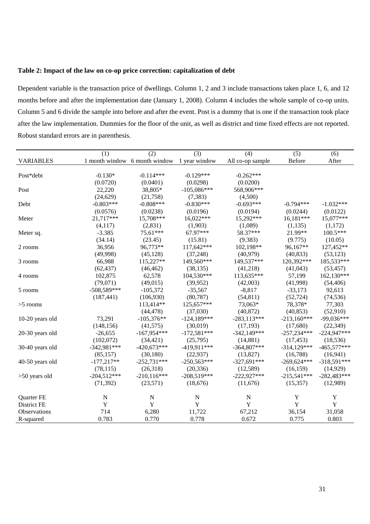#### **Table 2: Impact of the law on co-op price correction: capitalization of debt**

Dependent variable is the transaction price of dwellings. Column 1, 2 and 3 include transactions taken place 1, 6, and 12 months before and after the implementation date (January 1, 2008). Column 4 includes the whole sample of co-op units. Column 5 and 6 divide the sample into before and after the event. Post is a dummy that is one if the transaction took place after the law implementation. Dummies for the floor of the unit, as well as district and time fixed effects are not reported. Robust standard errors are in parenthesis.

|                     | (1)           | (2)                           | (3)           | (4)              | (5)           | (6)           |
|---------------------|---------------|-------------------------------|---------------|------------------|---------------|---------------|
| <b>VARIABLES</b>    |               | 1 month window 6 month window | 1 year window | All co-op sample | Before        | After         |
|                     |               |                               |               |                  |               |               |
| Post*debt           | $-0.130*$     | $-0.114***$                   | $-0.129***$   | $-0.262***$      |               |               |
|                     | (0.0720)      | (0.0401)                      | (0.0298)      | (0.0200)         |               |               |
| Post                | 22,220        | 38,805*                       | $-105,086***$ | 568,906***       |               |               |
|                     | (24, 629)     | (21,758)                      | (7, 383)      | (4,500)          |               |               |
| Debt                | $-0.803***$   | $-0.808***$                   | $-0.830***$   | $-0.693***$      | $-0.794***$   | $-1.032***$   |
|                     | (0.0576)      | (0.0238)                      | (0.0196)      | (0.0194)         | (0.0244)      | (0.0122)      |
| Meter               | 21,717***     | 15,708***                     | 16,022***     | 15,292***        | 16,181***     | 15,077***     |
|                     | (4, 117)      | (2,831)                       | (1,903)       | (1,089)          | (1, 135)      | (1,172)       |
| Meter sq.           | $-3.385$      | 75.61***                      | 67.97***      | 58.37***         | 21.99**       | $100.5***$    |
|                     | (34.14)       | (23.45)                       | (15.81)       | (9.383)          | (9.775)       | (10.05)       |
| 2 rooms             | 36,956        | 96,773**                      | 117,642***    | 102,198**        | 96,167**      | 127,452**     |
|                     | (49,998)      | (45, 128)                     | (37, 248)     | (40, 979)        | (40, 833)     | (53, 123)     |
| 3 rooms             | 66,988        | 115,227**                     | 149,560***    | 149,537***       | 120,392***    | 185,533***    |
|                     | (62, 437)     | (46, 462)                     | (38, 135)     | (41,218)         | (41,043)      | (53, 457)     |
| 4 rooms             | 102,875       | 62,578                        | 104,530***    | 113,635***       | 57,199        | 162,130***    |
|                     | (79,071)      | (49,015)                      | (39,952)      | (42,003)         | (41,998)      | (54, 406)     |
| 5 rooms             | $-508,589***$ | $-105,372$                    | $-35,567$     | $-8,817$         | $-33,173$     | 92,613        |
|                     | (187, 441)    | (106,930)                     | (80, 787)     | (54, 811)        | (52, 724)     | (74, 536)     |
| $>5$ rooms          |               | 113,414**                     | 125,657***    | 73,063*          | 78,378*       | 77,303        |
|                     |               | (44, 478)                     | (37,030)      | (40, 872)        | (40, 853)     | (52, 910)     |
| 10-20 years old     | 73,291        | $-105,376**$                  | $-124,189***$ | $-283,113***$    | $-213,160***$ | $-99,036***$  |
|                     | (148, 156)    | (41, 575)                     | (30,019)      | (17, 193)        | (17,680)      | (22, 349)     |
| 20-30 years old     | $-26,655$     | $-167,954***$                 | $-172,581***$ | $-342,149***$    | $-257,234***$ | $-224,947***$ |
|                     | (102,072)     | (34, 421)                     | (25,795)      | (14,881)         | (17, 453)     | (18, 536)     |
| 30-40 years old     | $-342,981***$ | $-420,673***$                 | $-419,911***$ | $-364,807***$    | $-314,129***$ | $-465,577***$ |
|                     | (85, 157)     | (30, 180)                     | (22, 937)     | (13,827)         | (16,788)      | (16,941)      |
| 40-50 years old     | $-177,217**$  | $-252,731***$                 | $-250,563***$ | $-327,691***$    | $-269,624***$ | $-318,591***$ |
|                     | (78, 115)     | (26,318)                      | (20, 336)     | (12,589)         | (16, 159)     | (14, 929)     |
| $>50$ years old     | $-204,512***$ | $-210,116***$                 | $-208,519***$ | $-222,927***$    | $-215,541***$ | $-282,483***$ |
|                     | (71, 392)     | (23,571)                      | (18,676)      | (11,676)         | (15,357)      | (12,989)      |
| Quarter FE          | N             | $\mathbf N$                   | N             | N                | Y             | Y             |
| District FE         | $\mathbf Y$   | Y                             | Y             | Y                | $\mathbf Y$   | $\mathbf Y$   |
| <b>Observations</b> | 714           | 6,280                         | 11,722        | 67,212           | 36,154        | 31,058        |
| R-squared           | 0.783         | 0.770                         | 0.778         | 0.672            | 0.775         | 0.803         |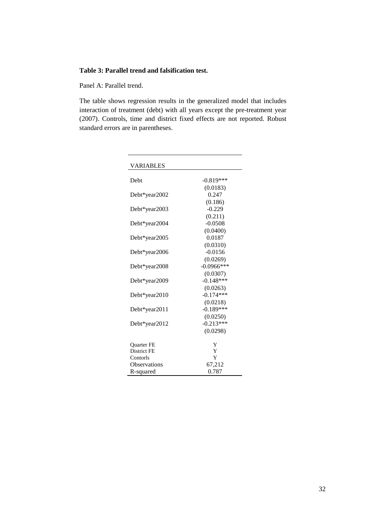#### **Table 3: Parallel trend and falsification test.**

Panel A: Parallel trend.

The table shows regression results in the generalized model that includes interaction of treatment (debt) with all years except the pre-treatment year (2007). Controls, time and district fixed effects are not reported. Robust standard errors are in parentheses.

| VARIABLES           |               |
|---------------------|---------------|
| Debt                | $-0.819***$   |
|                     | (0.0183)      |
| Debt*year2002       | 0.247         |
|                     | (0.186)       |
| Debt*year2003       | $-0.229$      |
|                     | (0.211)       |
| Debt*year2004       | $-0.0508$     |
|                     | (0.0400)      |
| Debt*year2005       | 0.0187        |
|                     | (0.0310)      |
| Debt*year2006       | $-0.0156$     |
|                     | (0.0269)      |
| Debt*year2008       | $-0.0966$ *** |
|                     | (0.0307)      |
| Debt*year2009       | $-0.148***$   |
|                     | (0.0263)      |
| Debt*year2010       | $-0.174***$   |
|                     | (0.0218)      |
| Debt*year2011       | $-0.189***$   |
|                     | (0.0250)      |
| Debt*year2012       | $-0.213***$   |
|                     | (0.0298)      |
| <b>Ouarter FE</b>   | Y             |
| District FE         | Y             |
| Contorls            | Y             |
| <b>Observations</b> | 67,212        |
| R-squared           | 0.787         |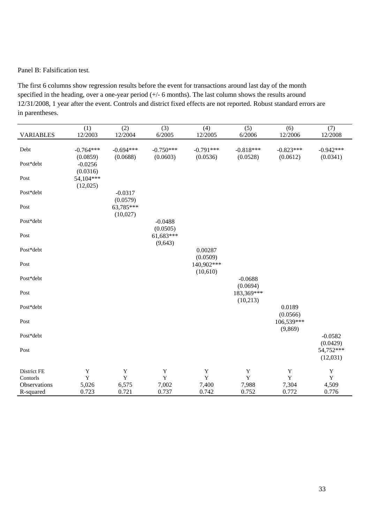#### Panel B: Falsification test.

The first 6 columns show regression results before the event for transactions around last day of the month specified in the heading, over a one-year period (+/- 6 months). The last column shows the results around 12/31/2008, 1 year after the event. Controls and district fixed effects are not reported. Robust standard errors are in parentheses.

| <b>VARIABLES</b>                                                                                                                                                                                                                                                                                                                                                                                                                                                                                                                                                                                                              | (1)<br>12/2003          | (2)<br>12/2004          | (3)<br>6/2005           | (4)<br>12/2005          | (5)<br>6/2006           | (6)<br>12/2006          | (7)<br>12/2008          |
|-------------------------------------------------------------------------------------------------------------------------------------------------------------------------------------------------------------------------------------------------------------------------------------------------------------------------------------------------------------------------------------------------------------------------------------------------------------------------------------------------------------------------------------------------------------------------------------------------------------------------------|-------------------------|-------------------------|-------------------------|-------------------------|-------------------------|-------------------------|-------------------------|
|                                                                                                                                                                                                                                                                                                                                                                                                                                                                                                                                                                                                                               |                         |                         |                         |                         |                         |                         |                         |
| Debt                                                                                                                                                                                                                                                                                                                                                                                                                                                                                                                                                                                                                          | $-0.764***$<br>(0.0859) | $-0.694***$<br>(0.0688) | $-0.750***$<br>(0.0603) | $-0.791***$<br>(0.0536) | $-0.818***$<br>(0.0528) | $-0.823***$<br>(0.0612) | $-0.942***$<br>(0.0341) |
| Post*debt                                                                                                                                                                                                                                                                                                                                                                                                                                                                                                                                                                                                                     | $-0.0256$               |                         |                         |                         |                         |                         |                         |
| Post                                                                                                                                                                                                                                                                                                                                                                                                                                                                                                                                                                                                                          | (0.0316)<br>54,104***   |                         |                         |                         |                         |                         |                         |
|                                                                                                                                                                                                                                                                                                                                                                                                                                                                                                                                                                                                                               | (12,025)                |                         |                         |                         |                         |                         |                         |
| Post*debt                                                                                                                                                                                                                                                                                                                                                                                                                                                                                                                                                                                                                     |                         | $-0.0317$<br>(0.0579)   |                         |                         |                         |                         |                         |
| Post                                                                                                                                                                                                                                                                                                                                                                                                                                                                                                                                                                                                                          |                         | 63,785***               |                         |                         |                         |                         |                         |
| Post*debt                                                                                                                                                                                                                                                                                                                                                                                                                                                                                                                                                                                                                     |                         | (10,027)                | $-0.0488$               |                         |                         |                         |                         |
|                                                                                                                                                                                                                                                                                                                                                                                                                                                                                                                                                                                                                               |                         |                         | (0.0505)                |                         |                         |                         |                         |
| $\operatorname*{Post}% \left( X\right) \equiv\operatorname*{Post}% \left( X\right) \equiv\operatorname*{Post}% \left( X\right) \equiv\operatorname*{Post}% \left( X\right) \equiv\operatorname*{Post}% \left( X\right) \equiv\operatorname*{Post}% \left( X\right) \equiv\operatorname*{Post}% \left( X\right) \equiv\operatorname*{Post}% \left( X\right) \equiv\operatorname*{Post}% \left( X\right) \equiv\operatorname*{Post}% \left( X\right) \equiv\operatorname*{Post}% \left( X\right) \equiv\operatorname*{Post}% \left( X\right) \equiv\operatorname*{Post}% \left( X\right) \equiv\operatorname*{Post}% \left( X\$ |                         |                         | 61,683***<br>(9,643)    |                         |                         |                         |                         |
| Post*debt                                                                                                                                                                                                                                                                                                                                                                                                                                                                                                                                                                                                                     |                         |                         |                         | 0.00287                 |                         |                         |                         |
| Post                                                                                                                                                                                                                                                                                                                                                                                                                                                                                                                                                                                                                          |                         |                         |                         | (0.0509)<br>140,902***  |                         |                         |                         |
|                                                                                                                                                                                                                                                                                                                                                                                                                                                                                                                                                                                                                               |                         |                         |                         | (10,610)                |                         |                         |                         |
| Post*debt                                                                                                                                                                                                                                                                                                                                                                                                                                                                                                                                                                                                                     |                         |                         |                         |                         | $-0.0688$<br>(0.0694)   |                         |                         |
| Post                                                                                                                                                                                                                                                                                                                                                                                                                                                                                                                                                                                                                          |                         |                         |                         |                         | 183,369***              |                         |                         |
| Post*debt                                                                                                                                                                                                                                                                                                                                                                                                                                                                                                                                                                                                                     |                         |                         |                         |                         | (10,213)                | 0.0189                  |                         |
|                                                                                                                                                                                                                                                                                                                                                                                                                                                                                                                                                                                                                               |                         |                         |                         |                         |                         | (0.0566)                |                         |
| Post                                                                                                                                                                                                                                                                                                                                                                                                                                                                                                                                                                                                                          |                         |                         |                         |                         |                         | 106,539***              |                         |
| Post*debt                                                                                                                                                                                                                                                                                                                                                                                                                                                                                                                                                                                                                     |                         |                         |                         |                         |                         | (9, 869)                | $-0.0582$               |
| Post                                                                                                                                                                                                                                                                                                                                                                                                                                                                                                                                                                                                                          |                         |                         |                         |                         |                         |                         | (0.0429)<br>54,752***   |
|                                                                                                                                                                                                                                                                                                                                                                                                                                                                                                                                                                                                                               |                         |                         |                         |                         |                         |                         | (12,031)                |
| District FE                                                                                                                                                                                                                                                                                                                                                                                                                                                                                                                                                                                                                   | $\mathbf Y$             | $\mathbf Y$             | $\mathbf Y$             | $\mathbf Y$             | $\mathbf Y$             | $\mathbf Y$             | Y                       |
| Contorls                                                                                                                                                                                                                                                                                                                                                                                                                                                                                                                                                                                                                      | $\mathbf Y$             | $\mathbf Y$             | $\mathbf Y$             | $\mathbf Y$             | $\mathbf Y$             | $\mathbf Y$             | $\mathbf Y$             |
| Observations<br>R-squared                                                                                                                                                                                                                                                                                                                                                                                                                                                                                                                                                                                                     | 5,026<br>0.723          | 6,575<br>0.721          | 7,002<br>0.737          | 7,400<br>0.742          | 7,988<br>0.752          | 7,304<br>0.772          | 4,509<br>0.776          |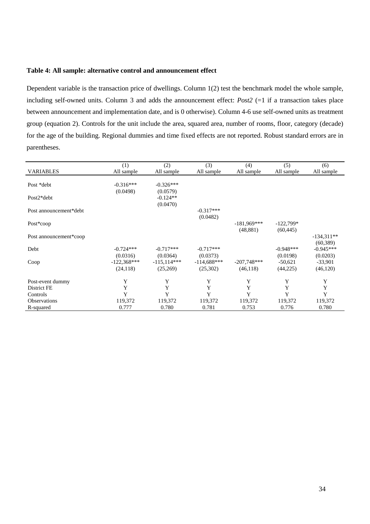#### **Table 4: All sample: alternative control and announcement effect**

Dependent variable is the transaction price of dwellings. Column 1(2) test the benchmark model the whole sample, including self-owned units. Column 3 and adds the announcement effect: *Post2* (=1 if a transaction takes place between announcement and implementation date, and is 0 otherwise). Column 4-6 use self-owned units as treatment group (equation 2). Controls for the unit include the area, squared area, number of rooms, floor, category (decade) for the age of the building. Regional dummies and time fixed effects are not reported. Robust standard errors are in parentheses.

|                        | (1)           | (2)           | (3)           | (4)           | (5)         | (6)          |
|------------------------|---------------|---------------|---------------|---------------|-------------|--------------|
| <b>VARIABLES</b>       | All sample    | All sample    | All sample    | All sample    | All sample  | All sample   |
|                        |               |               |               |               |             |              |
| Post *debt             | $-0.316***$   | $-0.326***$   |               |               |             |              |
|                        | (0.0498)      | (0.0579)      |               |               |             |              |
| $Post2*debt$           |               | $-0.124**$    |               |               |             |              |
|                        |               | (0.0470)      |               |               |             |              |
| Post announcement*debt |               |               | $-0.317***$   |               |             |              |
|                        |               |               | (0.0482)      |               |             |              |
| Post*coop              |               |               |               | $-181.969***$ | $-122,799*$ |              |
|                        |               |               |               | (48, 881)     | (60, 445)   |              |
|                        |               |               |               |               |             |              |
| Post announcement*coop |               |               |               |               |             | $-134,311**$ |
|                        |               |               |               |               |             | (60, 389)    |
| Debt                   | $-0.724***$   | $-0.717***$   | $-0.717***$   |               | $-0.948***$ | $-0.945***$  |
|                        | (0.0316)      | (0.0364)      | (0.0373)      |               | (0.0198)    | (0.0203)     |
| Coop                   | $-122,368***$ | $-115,114***$ | $-114,688***$ | $-207,748***$ | $-50,621$   | $-33,901$    |
|                        | (24, 118)     | (25,269)      | (25,302)      | (46, 118)     | (44,225)    | (46, 120)    |
|                        |               |               |               |               |             |              |
| Post-event dummy       | Y             | Y             | Y             | Y             | Y           | Y            |
| District FE            | Y             | Y             | Y             | Y             | Y           | Y            |
| Controls               | Y             | Y             | Y             | Y             | Y           | Y            |
| <b>Observations</b>    | 119,372       | 119,372       | 119,372       | 119,372       | 119,372     | 119,372      |
| R-squared              | 0.777         | 0.780         | 0.781         | 0.753         | 0.776       | 0.780        |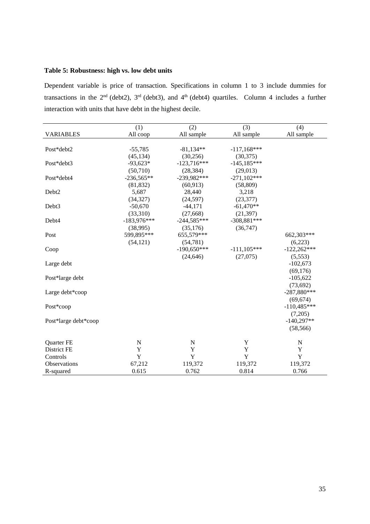#### **Table 5: Robustness: high vs. low debt units**

Dependent variable is price of transaction. Specifications in column 1 to 3 include dummies for transactions in the  $2<sup>nd</sup>$  (debt2),  $3<sup>rd</sup>$  (debt3), and  $4<sup>th</sup>$  (debt4) quartiles. Column 4 includes a further interaction with units that have debt in the highest decile.

|                      | (1)           | (2)           | (3)           | (4)           |
|----------------------|---------------|---------------|---------------|---------------|
| <b>VARIABLES</b>     | All coop      | All sample    | All sample    | All sample    |
|                      |               |               |               |               |
| Post*debt2           | $-55,785$     | $-81,134**$   | $-117,168***$ |               |
|                      | (45, 134)     | (30, 256)     | (30, 375)     |               |
| Post*debt3           | $-93,623*$    | $-123,716***$ | $-145,185***$ |               |
|                      | (50,710)      | (28, 384)     | (29, 013)     |               |
| Post*debt4           | $-236,565**$  | $-239,982***$ | $-271,102***$ |               |
|                      | (81, 832)     | (60, 913)     | (58, 809)     |               |
| Debt2                | 5,687         | 28,440        | 3,218         |               |
|                      | (34, 327)     | (24, 597)     | (23, 377)     |               |
| Debt3                | $-50,670$     | $-44,171$     | $-61,470**$   |               |
|                      | (33,310)      | (27, 668)     | (21, 397)     |               |
| Debt4                | $-183,976***$ | $-244,585***$ | $-308,881***$ |               |
|                      | (38,995)      | (35,176)      | (36,747)      |               |
| Post                 | 599,895***    | 655,579***    |               | 662,303***    |
|                      | (54, 121)     | (54, 781)     |               | (6,223)       |
| Coop                 |               | $-190,650***$ | $-111,105***$ | $-122,262***$ |
|                      |               | (24, 646)     | (27,075)      | (5,553)       |
| Large debt           |               |               |               | $-102,673$    |
|                      |               |               |               | (69,176)      |
| Post*large debt      |               |               |               | $-105,622$    |
|                      |               |               |               | (73, 692)     |
| Large debt*coop      |               |               |               | $-287,880***$ |
|                      |               |               |               | (69, 674)     |
| Post*coop            |               |               |               | $-110,485***$ |
|                      |               |               |               | (7,205)       |
| Post*large debt*coop |               |               |               | $-140,297**$  |
|                      |               |               |               | (58, 566)     |
| Quarter FE           | $\mathbf N$   | $\mathbf N$   | $\mathbf Y$   | $\mathbf N$   |
| District FE          | Y             | Y             | Y             | $\mathbf Y$   |
| Controls             | Y             | Y             | $\mathbf Y$   | $\mathbf Y$   |
| Observations         | 67,212        | 119,372       | 119,372       | 119,372       |
| R-squared            | 0.615         | 0.762         | 0.814         | 0.766         |
|                      |               |               |               |               |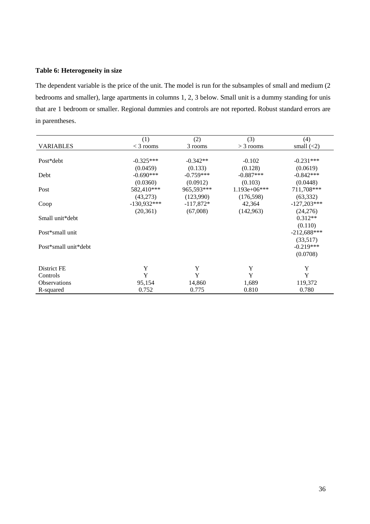#### **Table 6: Heterogeneity in size**

The dependent variable is the price of the unit. The model is run for the subsamples of small and medium (2 bedrooms and smaller), large apartments in columns 1, 2, 3 below. Small unit is a dummy standing for unis that are 1 bedroom or smaller. Regional dummies and controls are not reported. Robust standard errors are in parentheses.

|                      | (1)           | (2)         | (3)            | (4)              |
|----------------------|---------------|-------------|----------------|------------------|
| <b>VARIABLES</b>     | $<$ 3 rooms   | 3 rooms     | $>$ 3 rooms    | small $(\leq 2)$ |
|                      |               |             |                |                  |
| Post*debt            | $-0.325***$   | $-0.342**$  | $-0.102$       | $-0.231***$      |
|                      | (0.0459)      | (0.133)     | (0.128)        | (0.0619)         |
| Debt                 | $-0.690***$   | $-0.759***$ | $-0.887***$    | $-0.842***$      |
|                      | (0.0360)      | (0.0912)    | (0.103)        | (0.0448)         |
| Post                 | 582,410***    | 965,593***  | $1.193e+06***$ | 711,708***       |
|                      | (43,273)      | (123,990)   | (176, 598)     | (63, 332)        |
| Coop                 | $-130,932***$ | $-117,872*$ | 42,364         | $-127,203***$    |
|                      | (20, 361)     | (67,008)    | (142, 963)     | (24,276)         |
| Small unit*debt      |               |             |                | $0.312**$        |
|                      |               |             |                | (0.110)          |
| Post*small unit      |               |             |                | $-212,688***$    |
|                      |               |             |                | (33,517)         |
| Post*small unit*debt |               |             |                | $-0.219***$      |
|                      |               |             |                | (0.0708)         |
| District FE          | Y             | Y           | Y              | Y                |
| Controls             | Y             | Y           | Y              | Y                |
| <b>Observations</b>  | 95,154        | 14,860      | 1,689          | 119,372          |
| R-squared            | 0.752         | 0.775       | 0.810          | 0.780            |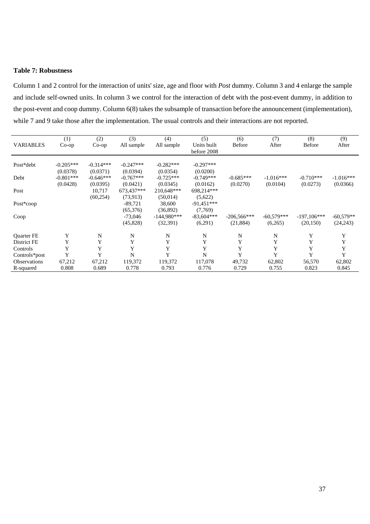#### **Table 7: Robustness**

Column 1 and 2 control for the interaction of units' size, age and floor with *Post* dummy. Column 3 and 4 enlarge the sample and include self-owned units. In column 3 we control for the interaction of debt with the post-event dummy, in addition to the post-event and coop dummy. Column 6(8) takes the subsample of transaction before the announcement (implementation), while 7 and 9 take those after the implementation. The usual controls and their interactions are not reported.

| <b>VARIABLES</b>    | (1)<br>$Co$ -op | (2)<br>$Co$ -op | (3)<br>All sample | (4)<br>All sample | (5)<br>Units built<br>before 2008 | (6)<br><b>Before</b> | (7)<br>After | (8)<br><b>Before</b> | (9)<br>After |
|---------------------|-----------------|-----------------|-------------------|-------------------|-----------------------------------|----------------------|--------------|----------------------|--------------|
| Post*debt           | $-0.205***$     | $-0.314***$     | $-0.247***$       | $-0.282***$       | $-0.297***$                       |                      |              |                      |              |
|                     | (0.0378)        | (0.0371)        | (0.0394)          | (0.0354)          | (0.0200)                          |                      |              |                      |              |
| Debt                | $-0.801***$     | $-0.646***$     | $-0.767***$       | $-0.725***$       | $-0.749***$                       | $-0.685***$          | $-1.016***$  | $-0.710***$          | $-1.016***$  |
|                     | (0.0428)        | (0.0395)        | (0.0421)          | (0.0345)          | (0.0162)                          | (0.0270)             | (0.0104)     | (0.0273)             | (0.0366)     |
| Post                |                 | 10,717          | 673,437***        | 210,648***        | 698,214***                        |                      |              |                      |              |
|                     |                 | (60, 254)       | (73,913)          | (50,014)          | (5,622)                           |                      |              |                      |              |
| Post*coop           |                 |                 | $-89,721$         | 38,600            | $-91,451***$                      |                      |              |                      |              |
|                     |                 |                 | (65,376)          | (36,892)          | (7,769)                           |                      |              |                      |              |
| Coop                |                 |                 | $-73,046$         | $-144.980***$     | $-83,604***$                      | $-206,566***$        | $-60,579***$ | $-197,106***$        | $-60,579**$  |
|                     |                 |                 | (45, 828)         | (32, 391)         | (6,291)                           | (21, 884)            | (6,265)      | (20, 150)            | (24, 243)    |
| <b>Ouarter FE</b>   | Y               | N               | N                 | N                 | N                                 | N                    | N            | Y                    | Y            |
| District FE         | Y               | Y               | Y                 | Y                 | Y                                 | Y                    | Y            | Y                    | Y            |
| Controls            | Y               | Y               | Y                 | Y                 | Y                                 | Y                    | Y            | Y                    | Y            |
| Controls*post       | Y               | Y               | N                 | Y                 | N                                 | Y                    | Y            | Y                    | Y            |
| <b>Observations</b> | 67,212          | 67,212          | 119,372           | 119,372           | 117,078                           | 49,732               | 62,802       | 56,570               | 62,802       |
| R-squared           | 0.808           | 0.689           | 0.778             | 0.793             | 0.776                             | 0.729                | 0.755        | 0.823                | 0.845        |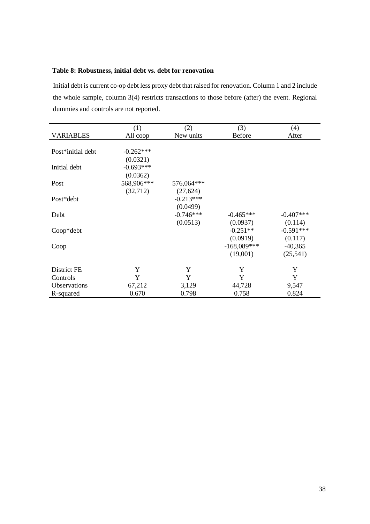#### **Table 8: Robustness, initial debt vs. debt for renovation**

Initial debt is current co-op debt less proxy debt that raised for renovation. Column 1 and 2 include the whole sample, column 3(4) restricts transactions to those before (after) the event. Regional dummies and controls are not reported.

|                   | (1)         | (2)         | (3)           | (4)         |
|-------------------|-------------|-------------|---------------|-------------|
| <b>VARIABLES</b>  | All coop    | New units   | <b>Before</b> | After       |
|                   |             |             |               |             |
| Post*initial debt | $-0.262***$ |             |               |             |
|                   | (0.0321)    |             |               |             |
| Initial debt      | $-0.693***$ |             |               |             |
|                   | (0.0362)    |             |               |             |
| Post              | 568,906***  | 576,064***  |               |             |
|                   | (32, 712)   | (27, 624)   |               |             |
| Post*debt         |             | $-0.213***$ |               |             |
|                   |             | (0.0499)    |               |             |
| Debt              |             | $-0.746***$ | $-0.465***$   | $-0.407***$ |
|                   |             | (0.0513)    | (0.0937)      | (0.114)     |
| Coop*debt         |             |             | $-0.251**$    | $-0.591***$ |
|                   |             |             | (0.0919)      | (0.117)     |
| Coop              |             |             | $-168,089***$ | $-40,365$   |
|                   |             |             | (19,001)      | (25,541)    |
|                   |             |             |               |             |
| District FE       | Y           | Y           | Y             | Y           |
| Controls          | Y           | Y           | Y             | Y           |
| Observations      | 67,212      | 3,129       | 44,728        | 9,547       |
| R-squared         | 0.670       | 0.798       | 0.758         | 0.824       |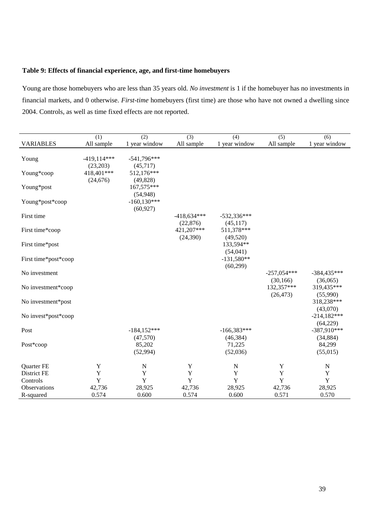#### **Table 9: Effects of financial experience, age, and first-time homebuyers**

Young are those homebuyers who are less than 35 years old. *No investment* is 1 if the homebuyer has no investments in financial markets, and 0 otherwise. *First-time* homebuyers (first time) are those who have not owned a dwelling since 2004. Controls, as well as time fixed effects are not reported.

|                      | (1)                       | (2)                        | (3)                        | (4)                        | (5)                        | (6)                        |
|----------------------|---------------------------|----------------------------|----------------------------|----------------------------|----------------------------|----------------------------|
| <b>VARIABLES</b>     | All sample                | 1 year window              | All sample                 | 1 year window              | All sample                 | 1 year window              |
| Young                | $-419,114***$<br>(23,203) | $-541,796***$<br>(45, 717) |                            |                            |                            |                            |
| Young*coop           | 418,401***<br>(24, 676)   | 512,176***<br>(49, 828)    |                            |                            |                            |                            |
| Young*post           |                           | 167,575***<br>(54, 948)    |                            |                            |                            |                            |
| Young*post*coop      |                           | $-160,130***$<br>(60, 927) |                            |                            |                            |                            |
| First time           |                           |                            | $-418,634***$<br>(22, 876) | $-532,336***$<br>(45, 117) |                            |                            |
| First time*coop      |                           |                            | 421,207***<br>(24, 390)    | 511,378***<br>(49,520)     |                            |                            |
| First time*post      |                           |                            |                            | 133,594**<br>(54,041)      |                            |                            |
| First time*post*coop |                           |                            |                            | $-131,580**$<br>(60, 299)  |                            |                            |
| No investment        |                           |                            |                            |                            | $-257,054***$<br>(30, 166) | $-384,435***$<br>(36,065)  |
| No investment*coop   |                           |                            |                            |                            | 132,357***<br>(26, 473)    | 319,435***<br>(55,990)     |
| No investment*post   |                           |                            |                            |                            |                            | 318,238***<br>(43,070)     |
| No invest*post*coop  |                           |                            |                            |                            |                            | $-214,182***$<br>(64,229)  |
| Post                 |                           | $-184,152***$<br>(47,570)  |                            | $-166,383***$<br>(46, 384) |                            | $-387,910***$<br>(34, 884) |
| Post*coop            |                           | 85,202<br>(52, 994)        |                            | 71,225<br>(52,036)         |                            | 84,299<br>(55,015)         |
| Quarter FE           | Y                         | $\mathbf N$                | Y                          | N                          | Y                          | $\mathbf N$                |
| <b>District FE</b>   | Y                         | $\mathbf Y$                | Y                          | Y                          | Y                          | Y                          |
| Controls             | Y                         | Y                          | $\mathbf Y$                | Y                          | Y                          | $\mathbf Y$                |
| Observations         | 42,736                    | 28,925                     | 42,736                     | 28,925                     | 42,736                     | 28,925                     |
| R-squared            | 0.574                     | 0.600                      | 0.574                      | 0.600                      | 0.571                      | 0.570                      |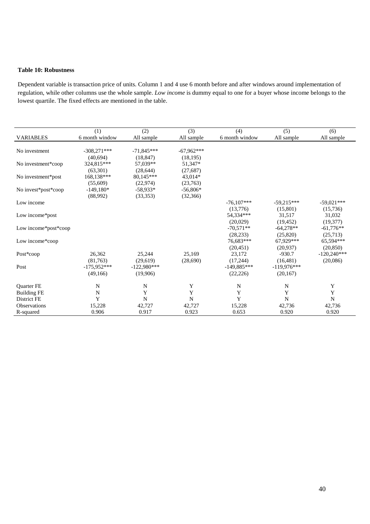#### **Table 10: Robustness**

Dependent variable is transaction price of units. Column 1 and 4 use 6 month before and after windows around implementation of regulation, while other columns use the whole sample. *Low income* is dummy equal to one for a buyer whose income belongs to the lowest quartile. The fixed effects are mentioned in the table.

|                      | (1)            | (2)           | (3)          | (4)            | (5)           | (6)           |
|----------------------|----------------|---------------|--------------|----------------|---------------|---------------|
| <b>VARIABLES</b>     | 6 month window | All sample    | All sample   | 6 month window | All sample    | All sample    |
|                      |                |               |              |                |               |               |
| No investment        | $-308,271***$  | $-71.845***$  | $-67.962***$ |                |               |               |
|                      | (40,694)       | (18, 847)     | (18, 195)    |                |               |               |
| No investment*coop   | 324,815***     | 57,039**      | 51,347*      |                |               |               |
|                      | (63, 301)      | (28, 644)     | (27,687)     |                |               |               |
| No investment*post   | 168,138***     | 80,145***     | 43,014*      |                |               |               |
|                      | (55,609)       | (22, 974)     | (23,763)     |                |               |               |
| No invest*post*coop  | $-149,180*$    | $-58,933*$    | $-56,806*$   |                |               |               |
|                      | (88,992)       | (33,353)      | (32,366)     |                |               |               |
| Low income           |                |               |              | $-76,107***$   | $-59.215***$  | $-59,021***$  |
|                      |                |               |              | (13,776)       | (15,801)      | (15,736)      |
| Low income*post      |                |               |              | 54,334***      | 31,517        | 31,032        |
|                      |                |               |              | (20,029)       | (19, 452)     | (19,377)      |
| Low income*post*coop |                |               |              | $-70.571**$    | $-64.278**$   | $-61,776**$   |
|                      |                |               |              | (28, 233)      | (25,820)      | (25,713)      |
| Low income*coop      |                |               |              | 76,683***      | 67,929***     | 65,594***     |
|                      |                |               |              | (20, 451)      | (20,937)      | (20, 850)     |
| Post*coop            | 26,362         | 25,244        | 25.169       | 23,172         | $-930.7$      | $-120.240***$ |
|                      | (81,763)       | (29,619)      | (28,690)     | (17,244)       | (16.481)      | (20,086)      |
| Post                 | $-175,952***$  | $-122,980***$ |              | $-149,885***$  | $-119,976***$ |               |
|                      | (49,166)       | (19,906)      |              | (22, 226)      | (20, 167)     |               |
|                      |                |               |              |                |               |               |
| <b>Ouarter FE</b>    | N              | N             | Y            | N              | N             | Y             |
| <b>Building FE</b>   | N              | Y             | Y            | Y              | Y             | Y             |
| District FE          | Y              | N             | $\mathbf N$  | Y              | N             | N             |
| <b>Observations</b>  | 15,228         | 42,727        | 42,727       | 15,228         | 42,736        | 42,736        |
| R-squared            | 0.906          | 0.917         | 0.923        | 0.653          | 0.920         | 0.920         |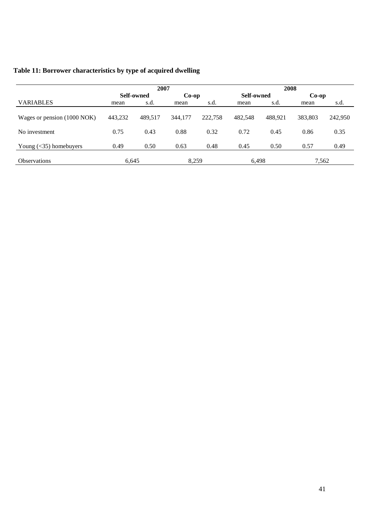| Table 11: Borrower characteristics by type of acquired dwelling |  |  |
|-----------------------------------------------------------------|--|--|
|-----------------------------------------------------------------|--|--|

|                             | 2007       |         |          |         | 2008       |         |         |         |
|-----------------------------|------------|---------|----------|---------|------------|---------|---------|---------|
|                             | Self-owned |         | $Co$ -op |         | Self-owned |         | $Co-op$ |         |
| <b>VARIABLES</b>            | mean       | s.d.    | mean     | s.d.    | mean       | s.d.    | mean    | s.d.    |
| Wages or pension (1000 NOK) | 443,232    | 489.517 | 344,177  | 222,758 | 482.548    | 488.921 | 383,803 | 242,950 |
| No investment               | 0.75       | 0.43    | 0.88     | 0.32    | 0.72       | 0.45    | 0.86    | 0.35    |
| Young $(<$ 35) homebuyers   | 0.49       | 0.50    | 0.63     | 0.48    | 0.45       | 0.50    | 0.57    | 0.49    |
| <b>Observations</b>         | 6,645      |         | 8.259    |         | 6,498      |         | 7,562   |         |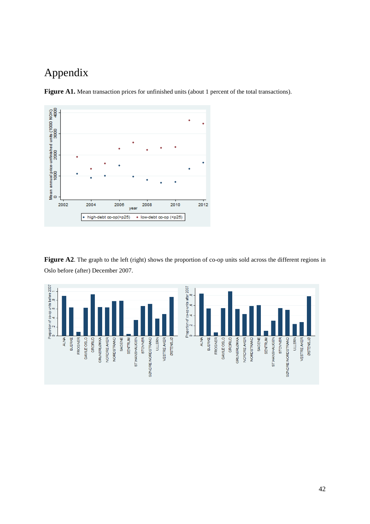### Appendix





Figure A2. The graph to the left (right) shows the proportion of co-op units sold across the different regions in Oslo before (after) December 2007.